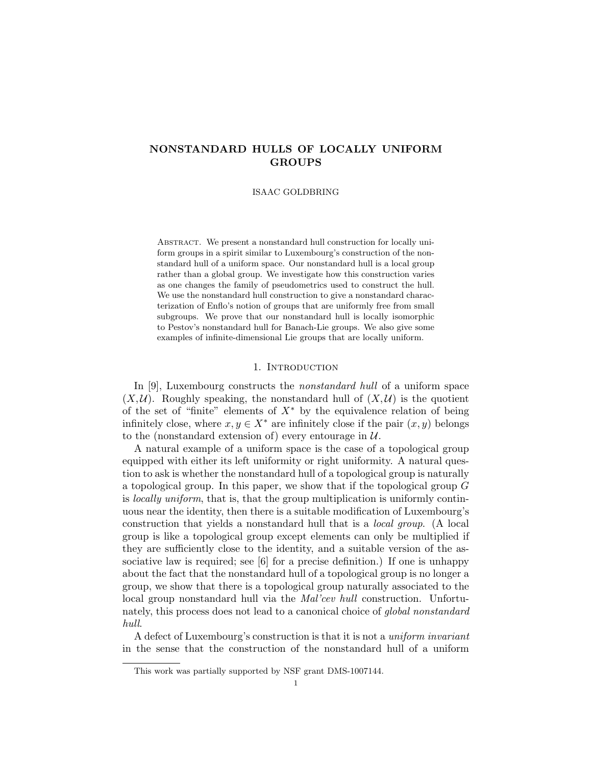# NONSTANDARD HULLS OF LOCALLY UNIFORM GROUPS

ISAAC GOLDBRING

ABSTRACT. We present a nonstandard hull construction for locally uniform groups in a spirit similar to Luxembourg's construction of the nonstandard hull of a uniform space. Our nonstandard hull is a local group rather than a global group. We investigate how this construction varies as one changes the family of pseudometrics used to construct the hull. We use the nonstandard hull construction to give a nonstandard characterization of Enflo's notion of groups that are uniformly free from small subgroups. We prove that our nonstandard hull is locally isomorphic to Pestov's nonstandard hull for Banach-Lie groups. We also give some examples of infinite-dimensional Lie groups that are locally uniform.

# 1. INTRODUCTION

In [9], Luxembourg constructs the nonstandard hull of a uniform space  $(X, \mathcal{U})$ . Roughly speaking, the nonstandard hull of  $(X, \mathcal{U})$  is the quotient of the set of "finite" elements of  $X^*$  by the equivalence relation of being infinitely close, where  $x, y \in X^*$  are infinitely close if the pair  $(x, y)$  belongs to the (nonstandard extension of) every entourage in  $\mathcal{U}$ .

A natural example of a uniform space is the case of a topological group equipped with either its left uniformity or right uniformity. A natural question to ask is whether the nonstandard hull of a topological group is naturally a topological group. In this paper, we show that if the topological group G is locally uniform, that is, that the group multiplication is uniformly continuous near the identity, then there is a suitable modification of Luxembourg's construction that yields a nonstandard hull that is a local group. (A local group is like a topological group except elements can only be multiplied if they are sufficiently close to the identity, and a suitable version of the associative law is required; see [6] for a precise definition.) If one is unhappy about the fact that the nonstandard hull of a topological group is no longer a group, we show that there is a topological group naturally associated to the local group nonstandard hull via the Mal'cev hull construction. Unfortunately, this process does not lead to a canonical choice of *global nonstandard* hull.

A defect of Luxembourg's construction is that it is not a uniform invariant in the sense that the construction of the nonstandard hull of a uniform

This work was partially supported by NSF grant DMS-1007144.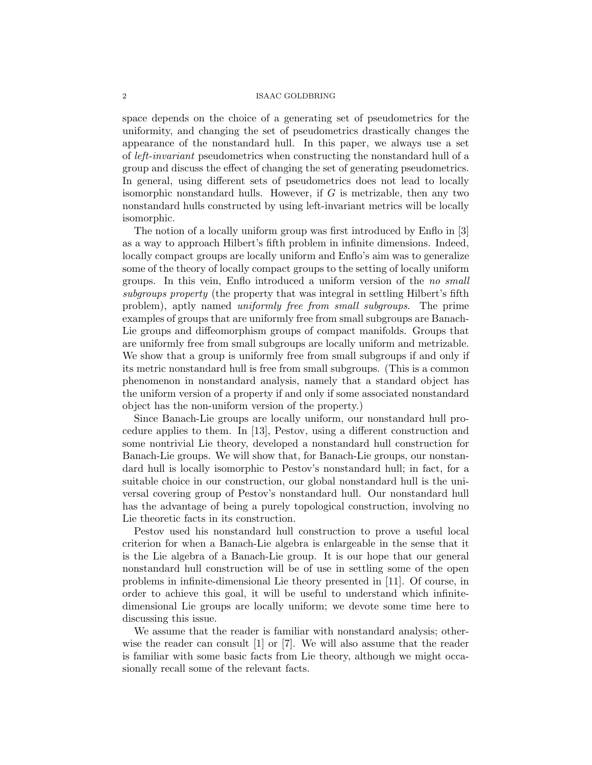space depends on the choice of a generating set of pseudometrics for the uniformity, and changing the set of pseudometrics drastically changes the appearance of the nonstandard hull. In this paper, we always use a set of left-invariant pseudometrics when constructing the nonstandard hull of a group and discuss the effect of changing the set of generating pseudometrics. In general, using different sets of pseudometrics does not lead to locally isomorphic nonstandard hulls. However, if  $G$  is metrizable, then any two nonstandard hulls constructed by using left-invariant metrics will be locally isomorphic.

The notion of a locally uniform group was first introduced by Enflo in [3] as a way to approach Hilbert's fifth problem in infinite dimensions. Indeed, locally compact groups are locally uniform and Enflo's aim was to generalize some of the theory of locally compact groups to the setting of locally uniform groups. In this vein, Enflo introduced a uniform version of the no small subgroups property (the property that was integral in settling Hilbert's fifth problem), aptly named uniformly free from small subgroups. The prime examples of groups that are uniformly free from small subgroups are Banach-Lie groups and diffeomorphism groups of compact manifolds. Groups that are uniformly free from small subgroups are locally uniform and metrizable. We show that a group is uniformly free from small subgroups if and only if its metric nonstandard hull is free from small subgroups. (This is a common phenomenon in nonstandard analysis, namely that a standard object has the uniform version of a property if and only if some associated nonstandard object has the non-uniform version of the property.)

Since Banach-Lie groups are locally uniform, our nonstandard hull procedure applies to them. In [13], Pestov, using a different construction and some nontrivial Lie theory, developed a nonstandard hull construction for Banach-Lie groups. We will show that, for Banach-Lie groups, our nonstandard hull is locally isomorphic to Pestov's nonstandard hull; in fact, for a suitable choice in our construction, our global nonstandard hull is the universal covering group of Pestov's nonstandard hull. Our nonstandard hull has the advantage of being a purely topological construction, involving no Lie theoretic facts in its construction.

Pestov used his nonstandard hull construction to prove a useful local criterion for when a Banach-Lie algebra is enlargeable in the sense that it is the Lie algebra of a Banach-Lie group. It is our hope that our general nonstandard hull construction will be of use in settling some of the open problems in infinite-dimensional Lie theory presented in [11]. Of course, in order to achieve this goal, it will be useful to understand which infinitedimensional Lie groups are locally uniform; we devote some time here to discussing this issue.

We assume that the reader is familiar with nonstandard analysis; otherwise the reader can consult [1] or [7]. We will also assume that the reader is familiar with some basic facts from Lie theory, although we might occasionally recall some of the relevant facts.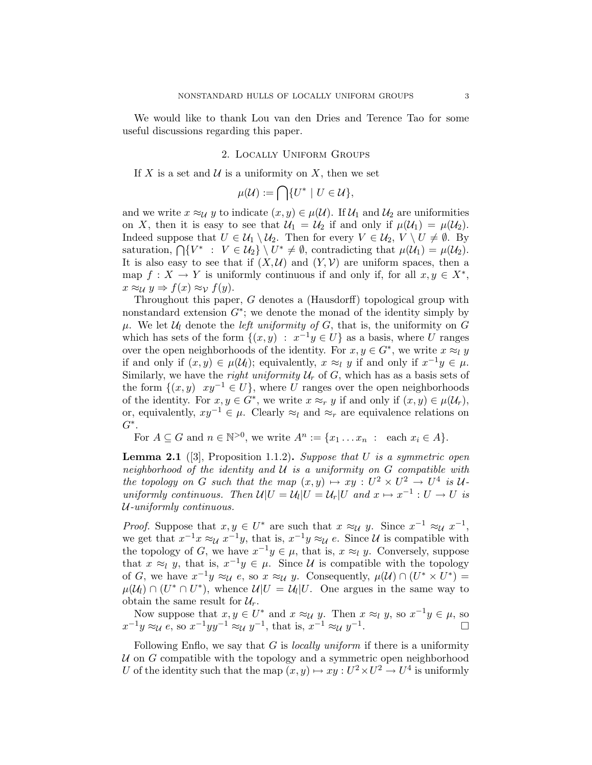We would like to thank Lou van den Dries and Terence Tao for some useful discussions regarding this paper.

## 2. Locally Uniform Groups

If X is a set and  $\mathcal U$  is a uniformity on X, then we set

$$
\mu(\mathcal{U}) := \bigcap \{ U^* \mid U \in \mathcal{U} \},
$$

and we write  $x \approx_{\mathcal{U}} y$  to indicate  $(x, y) \in \mu(\mathcal{U})$ . If  $\mathcal{U}_1$  and  $\mathcal{U}_2$  are uniformities on X, then it is easy to see that  $\mathcal{U}_1 = \mathcal{U}_2$  if and only if  $\mu(\mathcal{U}_1) = \mu(\mathcal{U}_2)$ . Indeed suppose that  $U \in \mathcal{U}_1 \setminus \mathcal{U}_2$ . Then for every  $V \in \mathcal{U}_2$ ,  $V \setminus U \neq \emptyset$ . By saturation,  $\bigcap \{V^* : V \in \mathcal{U}_2\} \setminus U^* \neq \emptyset$ , contradicting that  $\mu(\mathcal{U}_1) = \mu(\mathcal{U}_2)$ . It is also easy to see that if  $(X, \mathcal{U})$  and  $(Y, \mathcal{V})$  are uniform spaces, then a map  $f: X \to Y$  is uniformly continuous if and only if, for all  $x, y \in X^*$ ,  $x \approx_{\mathcal{U}} y \Rightarrow f(x) \approx_{\mathcal{V}} f(y).$ 

Throughout this paper, G denotes a (Hausdorff) topological group with nonstandard extension  $G^*$ ; we denote the monad of the identity simply by  $\mu$ . We let  $\mathcal{U}_l$  denote the *left uniformity of G*, that is, the uniformity on G which has sets of the form  $\{(x, y) : x^{-1}y \in U\}$  as a basis, where U ranges over the open neighborhoods of the identity. For  $x, y \in G^*$ , we write  $x \approx_l y$ if and only if  $(x, y) \in \mu(\mathcal{U}_l)$ ; equivalently,  $x \approx_l y$  if and only if  $x^{-1}y \in \mu$ . Similarly, we have the *right uniformity*  $U_r$  of G, which has as a basis sets of the form  $\{(x, y) \mid xy^{-1} \in U\}$ , where U ranges over the open neighborhoods of the identity. For  $x, y \in G^*$ , we write  $x \approx_r y$  if and only if  $(x, y) \in \mu(\mathcal{U}_r)$ , or, equivalently,  $xy^{-1} \in \mu$ . Clearly  $\approx_l$  and  $\approx_r$  are equivalence relations on  $G^*$ .

For  $A \subseteq G$  and  $n \in \mathbb{N}^{>0}$ , we write  $A^n := \{x_1 \dots x_n : \text{ each } x_i \in A\}.$ 

**Lemma 2.1** ([3], Proposition 1.1.2). Suppose that  $U$  is a symmetric open neighborhood of the identity and  $U$  is a uniformity on  $G$  compatible with the topology on G such that the map  $(x, y) \mapsto xy : U^2 \times U^2 \to U^4$  is Uuniformly continuous. Then  $\mathcal{U}|U = \mathcal{U}_l|U = \mathcal{U}_r|U$  and  $x \mapsto x^{-1} : U \to U$  is U-uniformly continuous.

*Proof.* Suppose that  $x, y \in U^*$  are such that  $x \approx_{\mathcal{U}} y$ . Since  $x^{-1} \approx_{\mathcal{U}} x^{-1}$ , we get that  $x^{-1}x \approx_{\mathcal{U}} x^{-1}y$ , that is,  $x^{-1}y \approx_{\mathcal{U}} e$ . Since  $\mathcal{U}$  is compatible with the topology of G, we have  $x^{-1}y \in \mu$ , that is,  $x \approx_l y$ . Conversely, suppose that  $x \approx_l y$ , that is,  $x^{-1}y \in \mu$ . Since U is compatible with the topology of G, we have  $x^{-1}y \approx_{\mathcal{U}} e$ , so  $x \approx_{\mathcal{U}} y$ . Consequently,  $\mu(\mathcal{U}) \cap (U^* \times U^*) =$  $\mu(\mathcal{U}_l) \cap (U^* \cap U^*)$ , whence  $\mathcal{U}|U = \mathcal{U}_l|U$ . One argues in the same way to obtain the same result for  $\mathcal{U}_r$ .

Now suppose that  $x, y \in U^*$  and  $x \approx_{\mathcal{U}} y$ . Then  $x \approx_{\mathcal{U}} y$ , so  $x^{-1}y \in \mu$ , so  $x^{-1}y \approx_{\mathcal{U}} e$ , so  $x^{-1}yy^{-1} \approx_{\mathcal{U}} y^{-1}$ , that is,  $x^{-1} \approx_{\mathcal{U}} y^{-1}$ .

Following Enflo, we say that  $G$  is *locally uniform* if there is a uniformity  $U$  on  $G$  compatible with the topology and a symmetric open neighborhood U of the identity such that the map  $(x, y) \mapsto xy : U^2 \times U^2 \to U^4$  is uniformly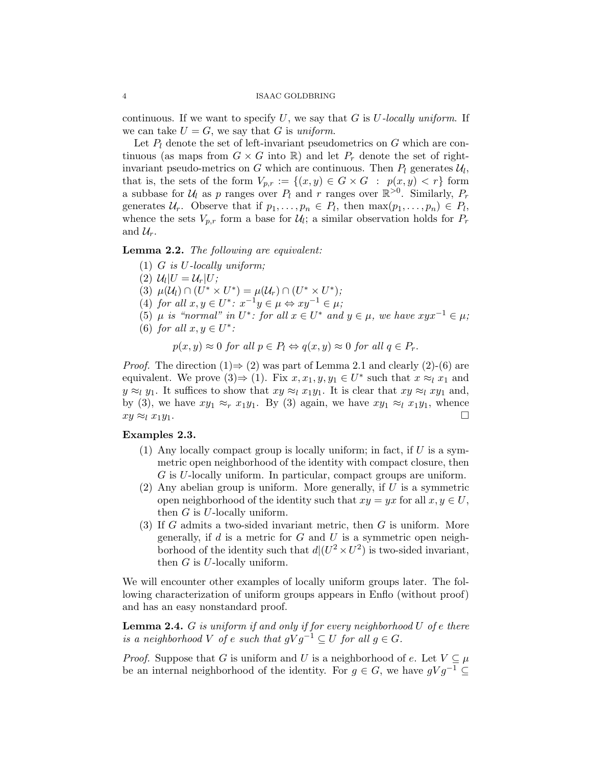continuous. If we want to specify  $U$ , we say that  $G$  is  $U$ -locally uniform. If we can take  $U = G$ , we say that G is uniform.

Let  $P_l$  denote the set of left-invariant pseudometrics on G which are continuous (as maps from  $G \times G$  into  $\mathbb{R}$ ) and let  $P_r$  denote the set of rightinvariant pseudo-metrics on G which are continuous. Then  $P_l$  generates  $\mathcal{U}_l$ , that is, the sets of the form  $V_{p,r} := \{(x,y) \in G \times G : p(x,y) < r\}$  form a subbase for  $U_l$  as p ranges over  $P_l$  and r ranges over  $\mathbb{R}^{>0}$ . Similarly,  $P_r$ generates  $\mathcal{U}_r$ . Observe that if  $p_1, \ldots, p_n \in P_l$ , then  $\max(p_1, \ldots, p_n) \in P_l$ , whence the sets  $V_{p,r}$  form a base for  $\mathcal{U}_l$ ; a similar observation holds for  $P_r$ and  $\mathcal{U}_r$ .

Lemma 2.2. The following are equivalent:

- (1)  $G$  is  $U$ -locally uniform;
- (2)  $\mathcal{U}_l|U = \mathcal{U}_r|U;$
- (3)  $\mu(\mathcal{U}_l) \cap (U^* \times U^*) = \mu(\mathcal{U}_r) \cap (U^* \times U^*)$ ;
- (4) for all  $x, y \in U^*$ :  $x^{-1}y \in \mu \Leftrightarrow xy^{-1} \in \mu$ ;
- (5)  $\mu$  is "normal" in  $U^*$ : for all  $x \in U^*$  and  $y \in \mu$ , we have  $xyx^{-1} \in \mu$ ;
- (6) for all  $x, y \in U^*$ :

$$
p(x, y) \approx 0 \text{ for all } p \in P_l \Leftrightarrow q(x, y) \approx 0 \text{ for all } q \in P_r.
$$

*Proof.* The direction  $(1) \Rightarrow (2)$  was part of Lemma 2.1 and clearly  $(2)-(6)$  are equivalent. We prove  $(3) \Rightarrow (1)$ . Fix  $x, x_1, y, y_1 \in U^*$  such that  $x \approx_l x_1$  and  $y \approx_l y_1$ . It suffices to show that  $xy \approx_l x_1y_1$ . It is clear that  $xy \approx_l xy_1$  and, by (3), we have  $xy_1 \approx_r x_1y_1$ . By (3) again, we have  $xy_1 \approx_l x_1y_1$ , whence  $xy \approx_l x_1 y_1.$ 

## Examples 2.3.

- (1) Any locally compact group is locally uniform; in fact, if  $U$  is a symmetric open neighborhood of the identity with compact closure, then G is U-locally uniform. In particular, compact groups are uniform.
- (2) Any abelian group is uniform. More generally, if  $U$  is a symmetric open neighborhood of the identity such that  $xy = yx$  for all  $x, y \in U$ , then  $G$  is  $U$ -locally uniform.
- $(3)$  If G admits a two-sided invariant metric, then G is uniform. More generally, if d is a metric for  $G$  and  $U$  is a symmetric open neighborhood of the identity such that  $d/(U^2 \times U^2)$  is two-sided invariant, then  $G$  is  $U$ -locally uniform.

We will encounter other examples of locally uniform groups later. The following characterization of uniform groups appears in Enflo (without proof) and has an easy nonstandard proof.

**Lemma 2.4.** G is uniform if and only if for every neighborhood  $U$  of e there is a neighborhood V of e such that  $qVq^{-1} \subseteq U$  for all  $q \in G$ .

*Proof.* Suppose that G is uniform and U is a neighborhood of e. Let  $V \subseteq \mu$ be an internal neighborhood of the identity. For  $g \in G$ , we have  $gVq^{-1} \subset$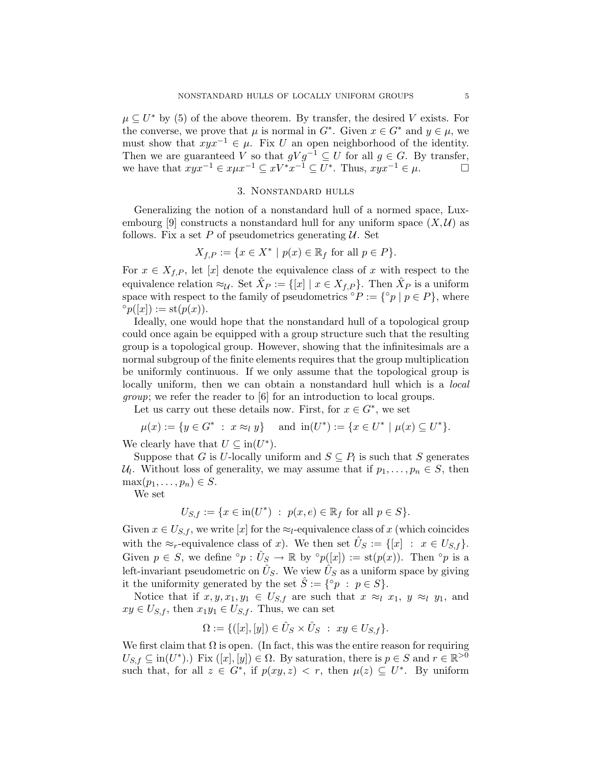$\mu \subseteq U^*$  by (5) of the above theorem. By transfer, the desired V exists. For the converse, we prove that  $\mu$  is normal in  $G^*$ . Given  $x \in G^*$  and  $y \in \mu$ , we must show that  $xyx^{-1} \in \mu$ . Fix U an open neighborhood of the identity. Then we are guaranteed V so that  $gVg^{-1} \subseteq U$  for all  $g \in G$ . By transfer, we have that  $xyx^{-1} \in xyx^{-1} \subseteq xy^*x^{-1} \subseteq U^*$ . Thus,  $xyx^{-1} \in \mu$ .

# 3. Nonstandard hulls

Generalizing the notion of a nonstandard hull of a normed space, Luxembourg [9] constructs a nonstandard hull for any uniform space  $(X, \mathcal{U})$  as follows. Fix a set P of pseudometrics generating  $U$ . Set

$$
X_{f,P} := \{ x \in X^* \mid p(x) \in \mathbb{R}_f \text{ for all } p \in P \}.
$$

For  $x \in X_{f,P}$ , let [x] denote the equivalence class of x with respect to the equivalence relation  $\approx_{\mathcal{U}}$ . Set  $\hat{X}_P := \{ [x] \mid x \in X_{f,P} \}$ . Then  $\hat{X}_P$  is a uniform space with respect to the family of pseudometrics °P := {°p | p  $\in P$ }, where  $\degree p([x]) := \mathrm{st}(p(x)).$ 

Ideally, one would hope that the nonstandard hull of a topological group could once again be equipped with a group structure such that the resulting group is a topological group. However, showing that the infinitesimals are a normal subgroup of the finite elements requires that the group multiplication be uniformly continuous. If we only assume that the topological group is locally uniform, then we can obtain a nonstandard hull which is a local group; we refer the reader to [6] for an introduction to local groups.

Let us carry out these details now. First, for  $x \in G^*$ , we set

$$
\mu(x) := \{ y \in G^* \; : \; x \approx_l y \} \quad \text{ and } \text{ in}(U^*) := \{ x \in U^* \; | \; \mu(x) \subseteq U^* \}.
$$

We clearly have that  $U \subseteq in(U^*)$ .

Suppose that G is U-locally uniform and  $S \subseteq P_l$  is such that S generates  $\mathcal{U}_l$ . Without loss of generality, we may assume that if  $p_1, \ldots, p_n \in S$ , then  $\max(p_1, \ldots, p_n) \in S$ .

We set

$$
U_{S,f} := \{ x \in \text{in}(U^*) \ : \ p(x,e) \in \mathbb{R}_f \text{ for all } p \in S \}.
$$

Given  $x \in U_{S,f}$ , we write [x] for the  $\approx_l$ -equivalence class of x (which coincides with the  $\approx_r$ -equivalence class of x). We then set  $\hat{U}_S := \{ [x] : x \in U_{S,f} \}.$ Given  $p \in S$ , we define ° $p : \hat{U}_S \to \mathbb{R}$  by ° $p([x]) := \text{st}(p(x))$ . Then ° $p$  is a left-invariant pseudometric on  $\hat{U}_S$ . We view  $\hat{U}_S$  as a uniform space by giving it the uniformity generated by the set  $\hat{S} := \{ {}^{\circ}p : p \in S \}.$ 

Notice that if  $x, y, x_1, y_1 \in U_{S,f}$  are such that  $x \approx_l x_1, y \approx_l y_1$ , and  $xy \in U_{S,f}$ , then  $x_1y_1 \in U_{S,f}$ . Thus, we can set

$$
\Omega := \{([x],[y]) \in \hat{U}_S \times \hat{U}_S \ : \ xy \in U_{S,f} \}.
$$

We first claim that  $\Omega$  is open. (In fact, this was the entire reason for requiring  $U_{S,f} \subseteq \text{in}(U^*)$ .) Fix  $([x],[y]) \in \Omega$ . By saturation, there is  $p \in S$  and  $r \in \mathbb{R}^{>0}$ such that, for all  $z \in G^*$ , if  $p(xy, z) < r$ , then  $\mu(z) \subseteq U^*$ . By uniform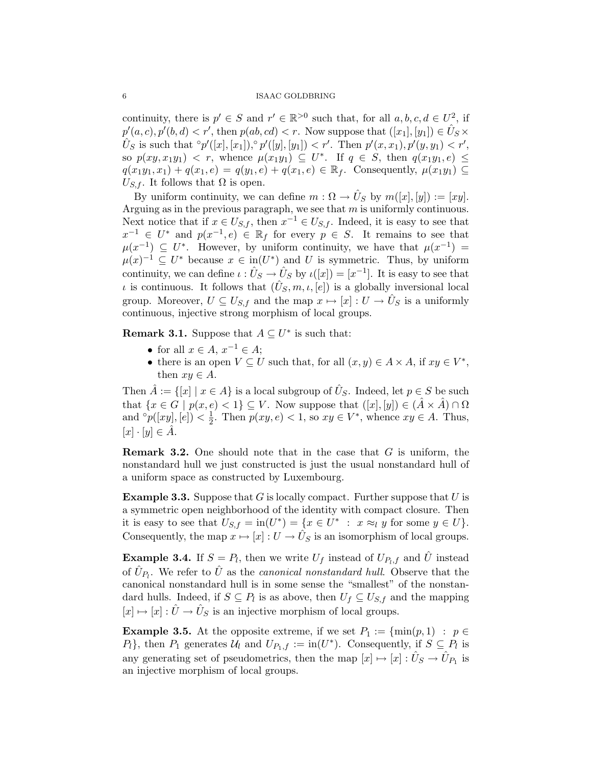continuity, there is  $p' \in S$  and  $r' \in \mathbb{R}^{>0}$  such that, for all  $a, b, c, d \in U^2$ , if  $p'(a, c), p'(b, d) < r'$ , then  $p(ab, cd) < r$ . Now suppose that  $([x_1], [y_1]) \in \hat{U}_S \times$  $\hat{U}_S$  is such that  $\hat{P}'([x],[x_1])\hat{P}'([y],[y_1]) < r'$ . Then  $p'(x,x_1), p'(y,y_1) < r'$ , so  $p(xy, x_1y_1) < r$ , whence  $\mu(x_1y_1) \subseteq U^*$ . If  $q \in S$ , then  $q(x_1y_1, e) \leq$  $q(x_1y_1, x_1) + q(x_1, e) = q(y_1, e) + q(x_1, e) \in \mathbb{R}_f$ . Consequently,  $\mu(x_1y_1) \subseteq$  $U_{S,f}$ . It follows that  $\Omega$  is open.

By uniform continuity, we can define  $m: \Omega \to \hat{U}_S$  by  $m([x],[y]) := [xy]$ . Arguing as in the previous paragraph, we see that  $m$  is uniformly continuous. Next notice that if  $x \in U_{S,f}$ , then  $x^{-1} \in U_{S,f}$ . Indeed, it is easy to see that  $x^{-1} \in U^*$  and  $p(x^{-1}, e) \in \mathbb{R}$  for every  $p \in S$ . It remains to see that  $\mu(x^{-1}) \subseteq U^*$ . However, by uniform continuity, we have that  $\mu(x^{-1}) =$  $\mu(x)^{-1} \subseteq U^*$  because  $x \in \text{in}(U^*)$  and U is symmetric. Thus, by uniform continuity, we can define  $\iota : \hat{U}_S \to \hat{U}_S$  by  $\iota([x]) = [x^{-1}]$ . It is easy to see that *ι* is continuous. It follows that  $(\hat{U}_S, m, \iota, [e])$  is a globally inversional local group. Moreover,  $U \subseteq U_{S,f}$  and the map  $x \mapsto [x] : U \to \hat{U}_S$  is a uniformly continuous, injective strong morphism of local groups.

**Remark 3.1.** Suppose that  $A \subseteq U^*$  is such that:

- for all  $x \in A$ ,  $x^{-1} \in A$ ;
- there is an open  $V \subseteq U$  such that, for all  $(x, y) \in A \times A$ , if  $xy \in V^*$ , then  $xy \in A$ .

Then  $\hat{A} := \{ [x] \mid x \in A \}$  is a local subgroup of  $\hat{U}_S$ . Indeed, let  $p \in S$  be such that  $\{x \in G \mid p(x, e) < 1\} \subseteq V$ . Now suppose that  $([x], [y]) \in (\hat{A} \times \hat{A}) \cap \Omega$ and  $^{\circ}p([xy],[e])<\frac{1}{2}$  $\frac{1}{2}$ . Then  $p(xy, e) < 1$ , so  $xy \in V^*$ , whence  $xy \in A$ . Thus,  $[x] \cdot [y] \in A.$ 

**Remark 3.2.** One should note that in the case that  $G$  is uniform, the nonstandard hull we just constructed is just the usual nonstandard hull of a uniform space as constructed by Luxembourg.

**Example 3.3.** Suppose that  $G$  is locally compact. Further suppose that  $U$  is a symmetric open neighborhood of the identity with compact closure. Then it is easy to see that  $U_{S,f} = \text{in}(U^*) = \{x \in U^* : x \approx_l y \text{ for some } y \in U\}.$ Consequently, the map  $x \mapsto [x]: U \to \hat{U}_S$  is an isomorphism of local groups.

**Example 3.4.** If  $S = P_l$ , then we write  $U_f$  instead of  $U_{P_l,f}$  and  $\hat{U}$  instead of  $\hat{U}_{P_l}$ . We refer to  $\hat{U}$  as the *canonical nonstandard hull*. Observe that the canonical nonstandard hull is in some sense the "smallest" of the nonstandard hulls. Indeed, if  $S \subseteq P_l$  is as above, then  $U_f \subseteq U_{S,f}$  and the mapping  $[x] \mapsto [x] : \hat{U} \to \hat{U}_S$  is an injective morphism of local groups.

**Example 3.5.** At the opposite extreme, if we set  $P_1 := \{ \min(p, 1) : p \in$  $P_l$ , then  $P_1$  generates  $\mathcal{U}_l$  and  $U_{P_1,f} := \text{in}(U^*)$ . Consequently, if  $S \subseteq P_l$  is any generating set of pseudometrics, then the map  $[x] \mapsto [x] : \hat{U}_S \to \hat{U}_{P_1}$  is an injective morphism of local groups.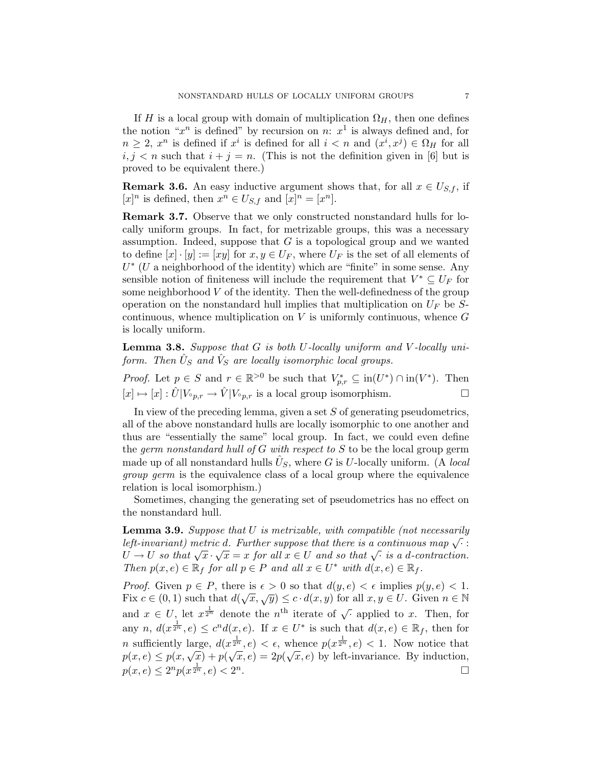If H is a local group with domain of multiplication  $\Omega_H$ , then one defines the notion " $x^n$  is defined" by recursion on n:  $x^1$  is always defined and, for  $n \geq 2$ ,  $x^n$  is defined if  $x^i$  is defined for all  $i < n$  and  $(x^i, x^j) \in \Omega_H$  for all  $i, j < n$  such that  $i + j = n$ . (This is not the definition given in [6] but is proved to be equivalent there.)

**Remark 3.6.** An easy inductive argument shows that, for all  $x \in U_{S,f}$ , if  $[x]^n$  is defined, then  $x^n \in U_{S,f}$  and  $[x]^n = [x^n]$ .

Remark 3.7. Observe that we only constructed nonstandard hulls for locally uniform groups. In fact, for metrizable groups, this was a necessary assumption. Indeed, suppose that  $G$  is a topological group and we wanted to define  $[x] \cdot [y] := [xy]$  for  $x, y \in U_F$ , where  $U_F$  is the set of all elements of  $U^*$  (U a neighborhood of the identity) which are "finite" in some sense. Any sensible notion of finiteness will include the requirement that  $V^* \subseteq U_F$  for some neighborhood  $V$  of the identity. Then the well-definedness of the group operation on the nonstandard hull implies that multiplication on  $U_F$  be Scontinuous, whence multiplication on  $V$  is uniformly continuous, whence  $G$ is locally uniform.

**Lemma 3.8.** Suppose that  $G$  is both  $U$ -locally uniform and  $V$ -locally uniform. Then  $\hat{U}_S$  and  $\hat{V}_S$  are locally isomorphic local groups.

*Proof.* Let  $p \in S$  and  $r \in \mathbb{R}^{>0}$  be such that  $V_{p,r}^* \subseteq in(U^*) \cap in(V^*)$ . Then  $[x] \mapsto [x] : \hat{U}|V_{\circ p,r} \to \hat{V}|V_{\circ p,r}$  is a local group isomorphism.

In view of the preceding lemma, given a set  $S$  of generating pseudometrics, all of the above nonstandard hulls are locally isomorphic to one another and thus are "essentially the same" local group. In fact, we could even define the germ nonstandard hull of  $G$  with respect to  $S$  to be the local group germ made up of all nonstandard hulls  $\hat{U}_S$ , where G is U-locally uniform. (A local group germ is the equivalence class of a local group where the equivalence relation is local isomorphism.)

Sometimes, changing the generating set of pseudometrics has no effect on the nonstandard hull.

**Lemma 3.9.** Suppose that  $U$  is metrizable, with compatible (not necessarily **Left-invariant)** metric d. Further suppose that there is a continuous map  $\sqrt{\cdot}$ :  $U \to U$  so that  $\sqrt{x} \cdot \sqrt{x} = x$  for all  $x \in U$  and so that  $\sqrt{u}$  is a d-contraction. Then  $p(x, e) \in \mathbb{R}_f$  for all  $p \in P$  and all  $x \in U^*$  with  $d(x, e) \in \mathbb{R}_f$ .

*Proof.* Given  $p \in P$ , there is  $\epsilon > 0$  so that  $d(y, e) < \epsilon$  implies  $p(y, e) < 1$ . Fig. c in  $p \in T$ , there is  $e > 0$  so that  $d(g, e) < e$  implies  $p(g, e) < 1$ .<br>Fix  $c \in (0, 1)$  such that  $d(\sqrt{x}, \sqrt{y}) \le c \cdot d(x, y)$  for all  $x, y \in U$ . Given  $n \in \mathbb{N}$ and  $x \in U$ , let  $x^{\frac{1}{2^n}}$  denote the  $n^{\text{th}}$  iterate of  $\sqrt{\cdot}$  applied to x. Then, for any  $n, d(x^{\frac{1}{2^n}}, e) \leq c^n d(x, e)$ . If  $x \in U^*$  is such that  $d(x, e) \in \mathbb{R}_f$ , then for *n* sufficiently large,  $d(x^{\frac{1}{2^n}}, e) < \epsilon$ , whence  $p(x^{\frac{1}{2^n}}, e) < 1$ . Now notice that m sumclemity large,  $a(x^2, e) < e$ , whence  $p(x^2, e) < 1$ . Now notice that  $p(x, e) \leq p(x, \sqrt{x}) + p(\sqrt{x}, e) = 2p(\sqrt{x}, e)$  by left-invariance. By induction,  $p(x, e) \leq 2^n p(x^{\frac{1}{2^n}}, e) < 2^n$ .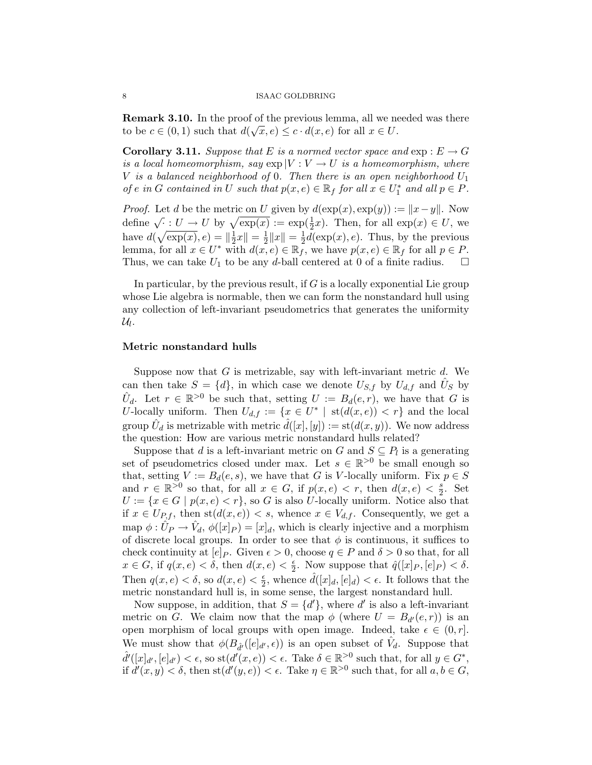**Remark 3.10.** In the proof of the previous lemma, all we needed was there to be  $c \in (0,1)$  such that  $d(\sqrt{x}, e) \leq c \cdot d(x, e)$  for all  $x \in U$ .

**Corollary 3.11.** Suppose that E is a normed vector space and  $exp: E \to G$ is a local homeomorphism, say  $\exp |V: V \to U$  is a homeomorphism, where V is a balanced neighborhood of 0. Then there is an open neighborhood  $U_1$ of e in G contained in U such that  $p(x, e) \in \mathbb{R}_f$  for all  $x \in U_1^*$  and all  $p \in P$ .

*Proof.* Let d be the metric on U given by  $d(\exp(x), \exp(y)) := ||x-y||$ . Now  $\alpha$  is the linearch on  $\psi$  given by  $a(\exp(x), \exp(y)) := ||x - y||$ . Now<br>define  $\sqrt{\cdot} : U \to U$  by  $\sqrt{\exp(x)} := \exp(\frac{1}{2}x)$ . Then, for all  $\exp(x) \in U$ , we have  $d(\sqrt{\exp(x)}, e) = \left\|\frac{1}{2}x\right\| = \frac{1}{2}\left\|x\right\| = \frac{1}{2}d(\exp(x), e)$ . Thus, by the previous have  $a(\sqrt{\exp(x)}, e) = \frac{\pi}{2} \|x\| - \frac{\pi}{2} \|x\| = \frac{\pi}{2} a(\exp(x), e)$ . Thus, by the previous lemma, for all  $x \in U^*$  with  $d(x, e) \in \mathbb{R}_f$ , we have  $p(x, e) \in \mathbb{R}_f$  for all  $p \in P$ . Thus, we can take  $U_1$  to be any d-ball centered at 0 of a finite radius.

In particular, by the previous result, if  $G$  is a locally exponential Lie group whose Lie algebra is normable, then we can form the nonstandard hull using any collection of left-invariant pseudometrics that generates the uniformity  $\mathcal{U}_l$ .

### Metric nonstandard hulls

Suppose now that  $G$  is metrizable, say with left-invariant metric  $d$ . We can then take  $S = \{d\}$ , in which case we denote  $U_{S,f}$  by  $U_{d,f}$  and  $\hat{U}_S$  by  $\hat{U}_d$ . Let  $r \in \mathbb{R}^{>0}$  be such that, setting  $U := B_d(e, r)$ , we have that G is U-locally uniform. Then  $U_{d,f} := \{x \in U^* \mid \operatorname{st}(d(x,e)) < r\}$  and the local group  $\hat{U}_d$  is metrizable with metric  $\hat{d}([x],[y]) := \text{st}(d(x,y)).$  We now address the question: How are various metric nonstandard hulls related?

Suppose that d is a left-invariant metric on G and  $S \subseteq P_l$  is a generating set of pseudometrics closed under max. Let  $s \in \mathbb{R}^{>0}$  be small enough so that, setting  $V := B_d(e, s)$ , we have that G is V-locally uniform. Fix  $p \in S$ and  $r \in \mathbb{R}^{>0}$  so that, for all  $x \in G$ , if  $p(x, e) < r$ , then  $d(x, e) < \frac{s}{2}$  $\frac{s}{2}$ . Set  $U := \{x \in G \mid p(x, e) < r\}$ , so G is also U-locally uniform. Notice also that if  $x \in U_{P,f}$ , then  $st(d(x, e)) < s$ , whence  $x \in V_{d,f}$ . Consequently, we get a map  $\phi: \hat{U}_P \to \hat{V}_d$ ,  $\phi([x]_P) = [x]_d$ , which is clearly injective and a morphism of discrete local groups. In order to see that  $\phi$  is continuous, it suffices to check continuity at  $[e]_P$ . Given  $\epsilon > 0$ , choose  $q \in P$  and  $\delta > 0$  so that, for all  $x \in G$ , if  $q(x, e) < \delta$ , then  $d(x, e) < \frac{\epsilon}{2}$  $\frac{\epsilon}{2}$ . Now suppose that  $\hat{q}([x]_P, [e]_P) < \delta$ . Then  $q(x, e) < \delta$ , so  $d(x, e) < \frac{\epsilon}{2}$  $\frac{\epsilon}{2}$ , whence  $\hat{d}([x]_d, [e]_d) < \epsilon$ . It follows that the metric nonstandard hull is, in some sense, the largest nonstandard hull.

Now suppose, in addition, that  $S = \{d'\}$ , where d' is also a left-invariant metric on G. We claim now that the map  $\phi$  (where  $U = B_{d'}(e,r)$ ) is an open morphism of local groups with open image. Indeed, take  $\epsilon \in (0, r]$ . We must show that  $\phi(B_{\hat{d}'}([e]_{d'}, \epsilon))$  is an open subset of  $\hat{V}_d$ . Suppose that  $\hat{d}'([x]_{d'}, [e]_{d'}) < \epsilon$ , so st $(d'(x, e)) < \epsilon$ . Take  $\delta \in \mathbb{R}^{>0}$  such that, for all  $y \in G^*$ , if  $d'(x, y) < \delta$ , then  $\operatorname{st}(d'(y, e)) < \epsilon$ . Take  $\eta \in \mathbb{R}^{>0}$  such that, for all  $a, b \in G$ ,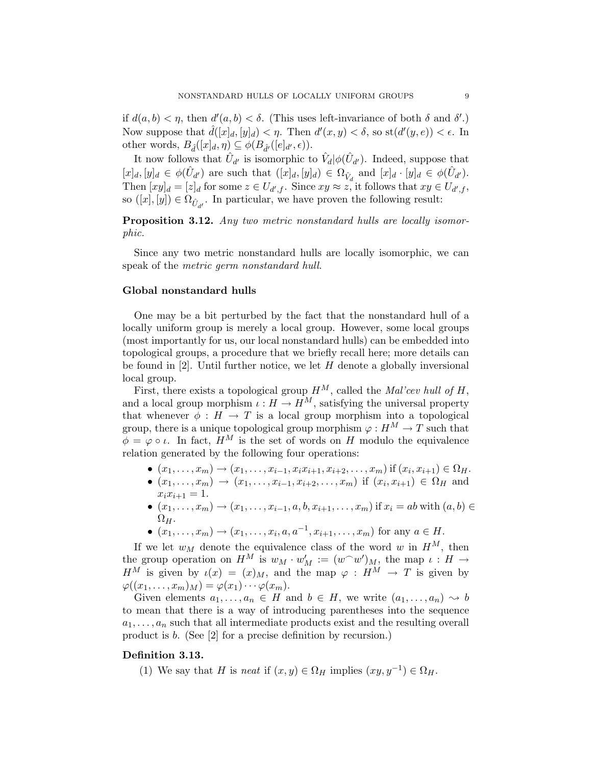if  $d(a, b) < \eta$ , then  $d'(a, b) < \delta$ . (This uses left-invariance of both  $\delta$  and  $\delta'$ .) Now suppose that  $\hat{d}([x]_d, [y]_d) < \eta$ . Then  $d'(x, y) < \delta$ , so  $\text{st}(d'(y, e)) < \epsilon$ . In other words,  $B_{\hat{d}}([x]_d, \eta) \subseteq \phi(B_{\hat{d}'}([e]_{d'}, \epsilon)).$ 

It now follows that  $\hat{U}_{d'}$  is isomorphic to  $\hat{V}_d|\phi(\hat{U}_{d'})$ . Indeed, suppose that  $[x]_d, [y]_d \in \phi(\hat{U}_{d'})$  are such that  $([x]_d, [y]_d) \in \Omega_{\hat{V}_d}$  and  $[x]_d \cdot [y]_d \in \phi(\hat{U}_{d'}).$ Then  $[xy]_d = [z]_d$  for some  $z \in U_{d',f}$ . Since  $xy \approx z$ , it follows that  $xy \in U_{d',f}$ , so  $([x], [y]) \in \Omega_{\hat{U}_{d'}}$ . In particular, we have proven the following result:

Proposition 3.12. Any two metric nonstandard hulls are locally isomorphic.

Since any two metric nonstandard hulls are locally isomorphic, we can speak of the metric germ nonstandard hull.

#### Global nonstandard hulls

One may be a bit perturbed by the fact that the nonstandard hull of a locally uniform group is merely a local group. However, some local groups (most importantly for us, our local nonstandard hulls) can be embedded into topological groups, a procedure that we briefly recall here; more details can be found in  $[2]$ . Until further notice, we let H denote a globally inversional local group.

First, there exists a topological group  $H^M$ , called the *Mal'cev hull of H*, and a local group morphism  $\iota : H \to \hat{H}^M$ , satisfying the universal property that whenever  $\phi : H \to T$  is a local group morphism into a topological group, there is a unique topological group morphism  $\varphi : H^M \to T$  such that  $\phi = \varphi \circ \iota$ . In fact,  $H^M$  is the set of words on H modulo the equivalence relation generated by the following four operations:

- $(x_1, \ldots, x_m) \to (x_1, \ldots, x_{i-1}, x_i x_{i+1}, x_{i+2}, \ldots, x_m)$  if  $(x_i, x_{i+1}) \in \Omega_H$ .
- $(x_1, \ldots, x_m) \to (x_1, \ldots, x_{i-1}, x_{i+2}, \ldots, x_m)$  if  $(x_i, x_{i+1}) \in \Omega_H$  and  $x_i x_{i+1} = 1.$
- $(x_1, \ldots, x_m) \to (x_1, \ldots, x_{i-1}, a, b, x_{i+1}, \ldots, x_m)$  if  $x_i = ab$  with  $(a, b) \in$  $\Omega_{H}$ .
- $(x_1, ..., x_m) \to (x_1, ..., x_i, a, a^{-1}, x_{i+1}, ..., x_m)$  for any  $a \in H$ .

If we let  $w_M$  denote the equivalence class of the word w in  $H^M$ , then the group operation on  $H^M$  is  $w_M \cdot w'_M := (w^{\frown} w')_M$ , the map  $\iota : H \to$  $H^M$  is given by  $\iota(x) = (x)_M$ , and the map  $\varphi : H^M \to T$  is given by  $\varphi((x_1,\ldots,x_m)_M)=\varphi(x_1)\cdots\varphi(x_m).$ 

Given elements  $a_1, \ldots, a_n \in H$  and  $b \in H$ , we write  $(a_1, \ldots, a_n) \rightsquigarrow b$ to mean that there is a way of introducing parentheses into the sequence  $a_1, \ldots, a_n$  such that all intermediate products exist and the resulting overall product is b. (See [2] for a precise definition by recursion.)

# Definition 3.13.

(1) We say that H is neat if  $(x, y) \in \Omega_H$  implies  $(xy, y^{-1}) \in \Omega_H$ .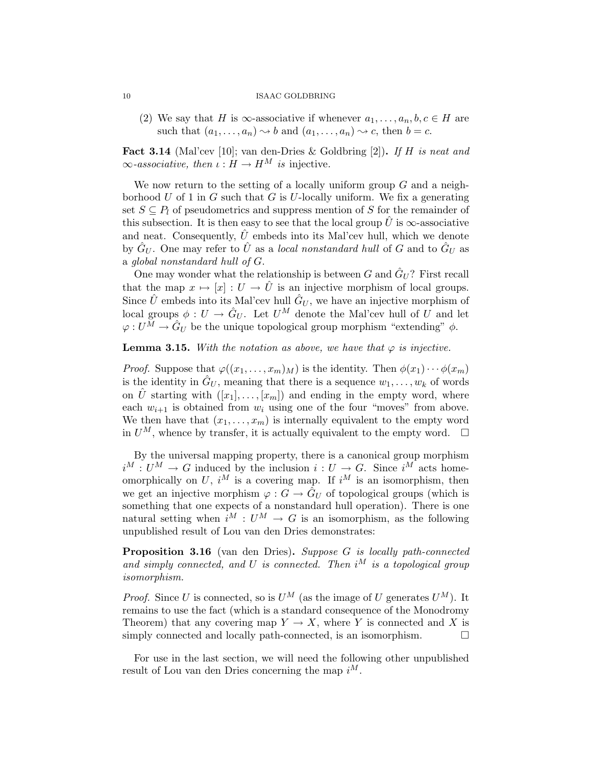(2) We say that H is  $\infty$ -associative if whenever  $a_1, \ldots, a_n, b, c \in H$  are such that  $(a_1, \ldots, a_n) \rightsquigarrow b$  and  $(a_1, \ldots, a_n) \rightsquigarrow c$ , then  $b = c$ .

Fact 3.14 (Mal'cev [10]; van den-Dries & Goldbring [2]). If H is neat and  $\infty$ -associative, then  $\iota : H \to H^M$  is injective.

We now return to the setting of a locally uniform group  $G$  and a neighborhood  $U$  of 1 in  $G$  such that  $G$  is  $U$ -locally uniform. We fix a generating set  $S \subseteq P_l$  of pseudometrics and suppress mention of S for the remainder of this subsection. It is then easy to see that the local group  $\hat{U}$  is  $\infty$ -associative and neat. Consequently,  $\hat{U}$  embeds into its Mal'cev hull, which we denote by  $\hat{G}_U$ . One may refer to  $\hat{U}$  as a *local nonstandard hull* of G and to  $\hat{G}_U$  as a global nonstandard hull of G.

One may wonder what the relationship is between  $G$  and  $\hat{G}_U$ ? First recall that the map  $x \mapsto [x] : U \to \hat{U}$  is an injective morphism of local groups. Since  $\hat{U}$  embeds into its Mal'cev hull  $\hat{G}_U$ , we have an injective morphism of local groups  $\phi: U \to \hat{G}_U$ . Let  $U^M$  denote the Mal'cev hull of U and let  $\varphi: U^M \to \hat{G}_U$  be the unique topological group morphism "extending"  $\phi$ .

# **Lemma 3.15.** With the notation as above, we have that  $\varphi$  is injective.

*Proof.* Suppose that  $\varphi((x_1, \ldots, x_m)_M)$  is the identity. Then  $\phi(x_1) \cdots \phi(x_m)$ is the identity in  $\hat{G}_U$ , meaning that there is a sequence  $w_1, \ldots, w_k$  of words on  $\hat{U}$  starting with  $([x_1], \ldots, [x_m])$  and ending in the empty word, where each  $w_{i+1}$  is obtained from  $w_i$  using one of the four "moves" from above. We then have that  $(x_1, \ldots, x_m)$  is internally equivalent to the empty word in  $U^M$ , whence by transfer, it is actually equivalent to the empty word.  $\Box$ 

By the universal mapping property, there is a canonical group morphism  $i^M: U^M \to G$  induced by the inclusion  $i: U \to G$ . Since  $i^M$  acts homeomorphically on U,  $i^M$  is a covering map. If  $i^M$  is an isomorphism, then we get an injective morphism  $\varphi: G \to \tilde{G}_U$  of topological groups (which is something that one expects of a nonstandard hull operation). There is one natural setting when  $i^M : U^M \to G$  is an isomorphism, as the following unpublished result of Lou van den Dries demonstrates:

Proposition 3.16 (van den Dries). Suppose G is locally path-connected and simply connected, and U is connected. Then  $i^M$  is a topological group isomorphism.

*Proof.* Since U is connected, so is  $U^M$  (as the image of U generates  $U^M$ ). It remains to use the fact (which is a standard consequence of the Monodromy Theorem) that any covering map  $Y \to X$ , where Y is connected and X is simply connected and locally path-connected, is an isomorphism.  $\square$ 

For use in the last section, we will need the following other unpublished result of Lou van den Dries concerning the map  $i^M$ .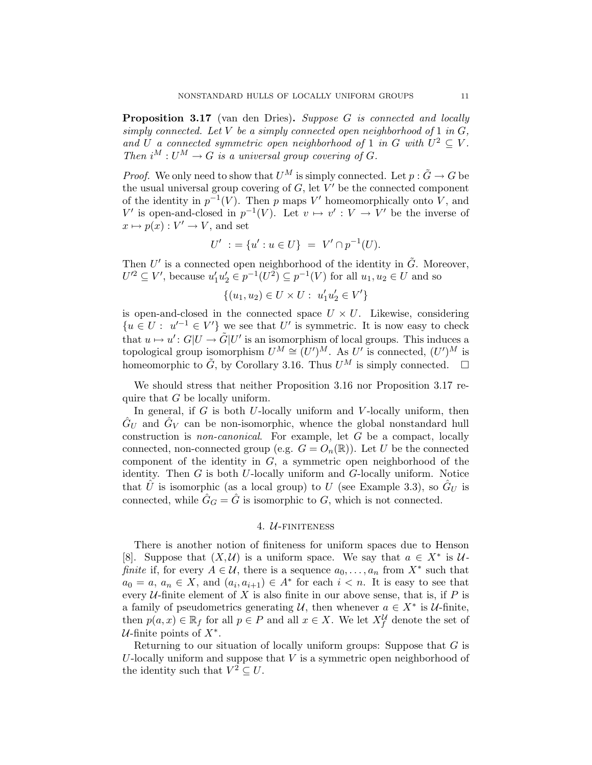Proposition 3.17 (van den Dries). Suppose G is connected and locally simply connected. Let V be a simply connected open neighborhood of 1 in  $G$ , and U a connected symmetric open neighborhood of 1 in G with  $U^2 \subseteq V$ . Then  $i^M: U^M \to G$  is a universal group covering of G.

*Proof.* We only need to show that  $U^M$  is simply connected. Let  $p : \tilde{G} \to G$  be the usual universal group covering of  $G$ , let  $V'$  be the connected component of the identity in  $p^{-1}(V)$ . Then p maps V' homeomorphically onto V, and V' is open-and-closed in  $p^{-1}(V)$ . Let  $v \mapsto v' : V \to V'$  be the inverse of  $x \mapsto p(x) : V' \to V$ , and set

$$
U' := \{u' : u \in U\} = V' \cap p^{-1}(U).
$$

Then  $U'$  is a connected open neighborhood of the identity in  $\tilde{G}$ . Moreover,  $U'^2 \subseteq V'$ , because  $u'_1u'_2 \in p^{-1}(U^2) \subseteq p^{-1}(V)$  for all  $u_1, u_2 \in U$  and so

$$
\{(u_1,u_2)\in U\times U:\ u_1'u_2'\in V'\}
$$

is open-and-closed in the connected space  $U \times U$ . Likewise, considering  ${u \in U : u'^{-1} \in V'}$  we see that U' is symmetric. It is now easy to check that  $u \mapsto u' : G|U \to \tilde{G}|U'$  is an isomorphism of local groups. This induces a topological group isomorphism  $U^M \cong (U')^M$ . As  $U'$  is connected,  $(U')^M$  is homeomorphic to  $\tilde{G}$ , by Corollary 3.16. Thus  $U^M$  is simply connected.  $\square$ 

We should stress that neither Proposition 3.16 nor Proposition 3.17 require that G be locally uniform.

In general, if  $G$  is both  $U$ -locally uniform and  $V$ -locally uniform, then  $\hat{G}_U$  and  $\hat{G}_V$  can be non-isomorphic, whence the global nonstandard hull construction is non-canonical. For example, let G be a compact, locally connected, non-connected group (e.g.  $G = O_n(\mathbb{R})$ ). Let U be the connected component of the identity in  $G$ , a symmetric open neighborhood of the identity. Then  $G$  is both U-locally uniform and  $G$ -locally uniform. Notice that  $\hat{U}$  is isomorphic (as a local group) to U (see Example 3.3), so  $\hat{G}_U$  is connected, while  $\hat{G}_G = \hat{G}$  is isomorphic to G, which is not connected.

# 4. *U*-FINITENESS

There is another notion of finiteness for uniform spaces due to Henson [8]. Suppose that  $(X, \mathcal{U})$  is a uniform space. We say that  $a \in X^*$  is  $\mathcal{U}$ finite if, for every  $A \in \mathcal{U}$ , there is a sequence  $a_0, \ldots, a_n$  from  $X^*$  such that  $a_0 = a, a_n \in X$ , and  $(a_i, a_{i+1}) \in A^*$  for each  $i < n$ . It is easy to see that every  $U$ -finite element of X is also finite in our above sense, that is, if P is a family of pseudometrics generating  $\mathcal{U}$ , then whenever  $a \in X^*$  is  $\mathcal{U}$ -finite, then  $p(a, x) \in \mathbb{R}_f$  for all  $p \in P$  and all  $x \in X$ . We let  $X_f^{\mathcal{U}}$  denote the set of  $U$ -finite points of  $X^*$ .

Returning to our situation of locally uniform groups: Suppose that  $G$  is  $U$ -locally uniform and suppose that  $V$  is a symmetric open neighborhood of the identity such that  $V^2 \subseteq U$ .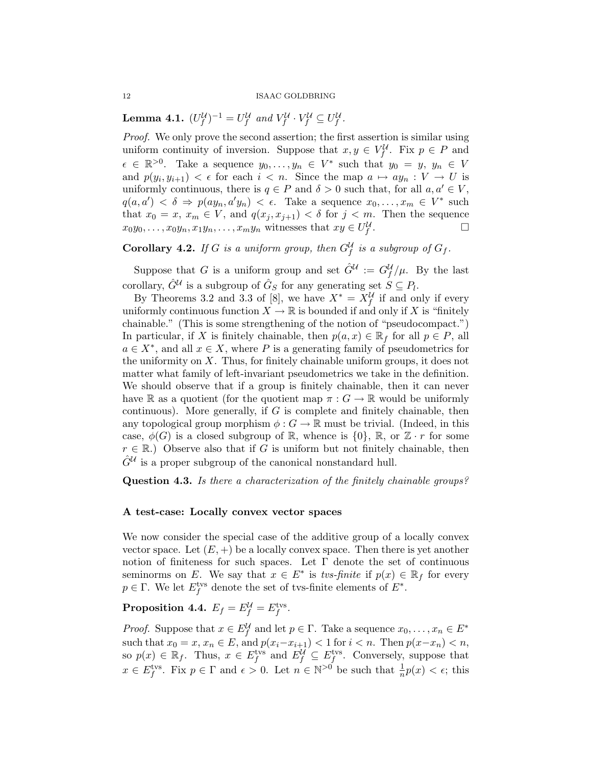**Lemma 4.1.**  $(U_f^{\mathcal{U}})^{-1} = U_f^{\mathcal{U}}$  and  $V_f^{\mathcal{U}} \cdot V_f^{\mathcal{U}} \subseteq U_f^{\mathcal{U}}$ .

Proof. We only prove the second assertion; the first assertion is similar using uniform continuity of inversion. Suppose that  $x, y \in V_f^{\mathcal{U}}$ . Fix  $p \in P$  and  $\epsilon \in \mathbb{R}^{>0}$ . Take a sequence  $y_0, \ldots, y_n \in V^*$  such that  $y_0 = y, y_n \in V$ and  $p(y_i, y_{i+1}) < \epsilon$  for each  $i < n$ . Since the map  $a \mapsto ay_n : V \to U$  is uniformly continuous, there is  $q \in P$  and  $\delta > 0$  such that, for all  $a, a' \in V$ ,  $q(a, a') < \delta \Rightarrow p(ay_n, a'y_n) < \epsilon$ . Take a sequence  $x_0, \ldots, x_m \in V^*$  such that  $x_0 = x, x_m \in V$ , and  $q(x_j, x_{j+1}) < \delta$  for  $j < m$ . Then the sequence  $x_0y_0, \ldots, x_0y_n, x_1y_n, \ldots, x_my_n$  witnesses that  $xy \in U_f^{\mathcal{U}}$ .<br>. — Политика и Политика и Политика и Политика и Политика и Политика и Политика и Политика и Политика и Полити<br>В Политика и Политика и Политика и Политика и Политика и Политика и Политика и Политика и Политика и Политика

**Corollary 4.2.** If G is a uniform group, then  $G_f^{\mathcal{U}}$  is a subgroup of  $G_f$ .

Suppose that G is a uniform group and set  $\hat{G}^{\mathcal{U}} := G_f^{\mathcal{U}}/\mu$ . By the last corollary,  $\hat{G}^{\mathcal{U}}$  is a subgroup of  $\hat{G}_S$  for any generating set  $S \subseteq P_l$ .

By Theorems 3.2 and 3.3 of [8], we have  $X^* = X_f^{\mathcal{U}}$  if and only if every uniformly continuous function  $X \to \mathbb{R}$  is bounded if and only if X is "finitely" chainable." (This is some strengthening of the notion of "pseudocompact.") In particular, if X is finitely chainable, then  $p(a, x) \in \mathbb{R}_f$  for all  $p \in P$ , all  $a \in X^*$ , and all  $x \in X$ , where P is a generating family of pseudometrics for the uniformity on  $X$ . Thus, for finitely chainable uniform groups, it does not matter what family of left-invariant pseudometrics we take in the definition. We should observe that if a group is finitely chainable, then it can never have R as a quotient (for the quotient map  $\pi: G \to \mathbb{R}$  would be uniformly continuous). More generally, if  $G$  is complete and finitely chainable, then any topological group morphism  $\phi : G \to \mathbb{R}$  must be trivial. (Indeed, in this case,  $\phi(G)$  is a closed subgroup of R, whence is  $\{0\}$ , R, or  $\mathbb{Z} \cdot r$  for some  $r \in \mathbb{R}$ .) Observe also that if G is uniform but not finitely chainable, then  $\hat{G}^{\mathcal{U}}$  is a proper subgroup of the canonical nonstandard hull.

Question 4.3. Is there a characterization of the finitely chainable groups?

#### A test-case: Locally convex vector spaces

We now consider the special case of the additive group of a locally convex vector space. Let  $(E, +)$  be a locally convex space. Then there is yet another notion of finiteness for such spaces. Let  $\Gamma$  denote the set of continuous seminorms on E. We say that  $x \in E^*$  is tvs-finite if  $p(x) \in \mathbb{R}_f$  for every  $p \in \Gamma$ . We let  $E_f^{\text{tvs}}$  denote the set of tvs-finite elements of  $E^*$ .

Proposition 4.4.  $E_f = E_f^{\mathcal{U}} = E_f^{\text{tvs}}$ .

*Proof.* Suppose that  $x \in E_f^{\mathcal{U}}$  and let  $p \in \Gamma$ . Take a sequence  $x_0, \ldots, x_n \in E^*$ such that  $x_0 = x, x_n \in E$ , and  $p(x_i-x_{i+1}) < 1$  for  $i < n$ . Then  $p(x-x_n) < n$ , so  $p(x) \in \mathbb{R}_f$ . Thus,  $x \in E_f^{\text{tvs}}$  and  $E_f^{\mathcal{U}} \subseteq E_f^{\text{tvs}}$ . Conversely, suppose that  $x \in E_f^{\text{tvs}}$ . Fix  $p \in \Gamma$  and  $\epsilon > 0$ . Let  $n \in \mathbb{N}^{>0}$  be such that  $\frac{1}{n}p(x) < \epsilon$ ; this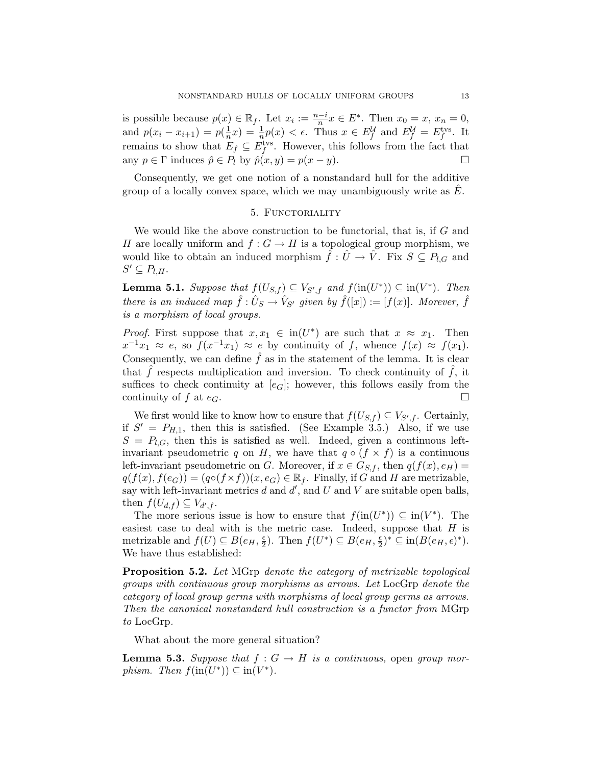is possible because  $p(x) \in \mathbb{R}_f$ . Let  $x_i := \frac{n-i}{n}x \in E^*$ . Then  $x_0 = x, x_n = 0$ , and  $p(x_i - x_{i+1}) = p(\frac{1}{n})$  $\frac{1}{n}x$  =  $\frac{1}{n}p(x) < \epsilon$ . Thus  $x \in E_f^{\mathcal{U}}$  and  $E_f^{\mathcal{U}} = E_f^{\text{tvs}}$ . It remains to show that  $E_f \subseteq E_f^{\text{tvs}}$ . However, this follows from the fact that any  $p \in \Gamma$  induces  $\hat{p} \in P_l$  by  $\hat{p}(x, y) = p(x - y)$ .

Consequently, we get one notion of a nonstandard hull for the additive group of a locally convex space, which we may unambiguously write as  $E$ .

# 5. FUNCTORIALITY

We would like the above construction to be functorial, that is, if G and H are locally uniform and  $f: G \to H$  is a topological group morphism, we would like to obtain an induced morphism  $\hat{f}: \hat{U} \to \hat{V}$ . Fix  $S \subseteq P_{l,G}$  and  $S' \subseteq P_{l,H}.$ 

**Lemma 5.1.** Suppose that  $f(U_{S,f}) \subseteq V_{S',f}$  and  $f(\text{in}(U^*)) \subseteq \text{in}(V^*)$ . Then there is an induced map  $\hat{f} : \hat{U}_S \to \hat{V}_{S'}$  given by  $\hat{f}([x]) := [f(x)]$ . Morever,  $\hat{f}$ is a morphism of local groups.

*Proof.* First suppose that  $x, x_1 \in \text{in}(U^*)$  are such that  $x \approx x_1$ . Then  $x^{-1}x_1 \approx e$ , so  $f(x^{-1}x_1) \approx e$  by continuity of f, whence  $f(x) \approx f(x_1)$ . Consequently, we can define  $\hat{f}$  as in the statement of the lemma. It is clear that  $\hat{f}$  respects multiplication and inversion. To check continuity of  $\hat{f}$ , it suffices to check continuity at  $[e_G]$ ; however, this follows easily from the continuity of f at  $e_G$ .

We first would like to know how to ensure that  $f(U_{S,f}) \subseteq V_{S',f}$ . Certainly, if  $S' = P_{H,1}$ , then this is satisfied. (See Example 3.5.) Also, if we use  $S = P_{l,G}$ , then this is satisfied as well. Indeed, given a continuous leftinvariant pseudometric q on H, we have that  $q \circ (f \times f)$  is a continuous left-invariant pseudometric on G. Moreover, if  $x \in G_{S,f}$ , then  $q(f(x), e_H) =$  $q(f(x), f(e_G)) = (q \circ (f \times f))(x, e_G) \in \mathbb{R}_f$ . Finally, if G and H are metrizable, say with left-invariant metrics d and  $d'$ , and U and V are suitable open balls, then  $f(U_{d,f}) \subseteq V_{d',f}$ .

The more serious issue is how to ensure that  $f(\text{in}(U^*)) \subseteq \text{in}(V^*)$ . The easiest case to deal with is the metric case. Indeed, suppose that  $H$  is metrizable and  $f(U) \subseteq B(e_H, \frac{\epsilon}{2})$  $(\frac{\epsilon}{2})$ . Then  $f(U^*) \subseteq B(e_H, \frac{\epsilon}{2})$  $\frac{\epsilon}{2})^* \subseteq \text{in}(B(e_H, \epsilon)^*).$ We have thus established:

Proposition 5.2. Let MGrp denote the category of metrizable topological groups with continuous group morphisms as arrows. Let LocGrp denote the category of local group germs with morphisms of local group germs as arrows. Then the canonical nonstandard hull construction is a functor from MGrp to LocGrp.

What about the more general situation?

**Lemma 5.3.** Suppose that  $f: G \to H$  is a continuous, open group morphism. Then  $f(\text{in}(U^*)) \subseteq \text{in}(V^*)$ .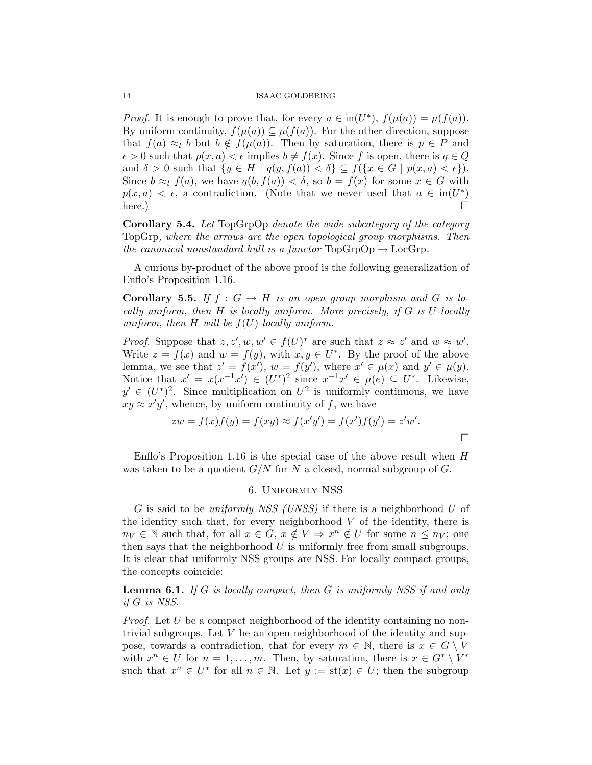*Proof.* It is enough to prove that, for every  $a \in in(U^*), f(\mu(a)) = \mu(f(a)).$ By uniform continuity,  $f(\mu(a)) \subseteq \mu(f(a))$ . For the other direction, suppose that  $f(a) \approx_l b$  but  $b \notin f(\mu(a))$ . Then by saturation, there is  $p \in P$  and  $\epsilon > 0$  such that  $p(x, a) < \epsilon$  implies  $b \neq f(x)$ . Since f is open, there is  $q \in Q$ and  $\delta > 0$  such that  $\{y \in H \mid q(y, f(a)) < \delta\} \subseteq f(\{x \in G \mid p(x, a) < \epsilon\}).$ Since  $b \approx_l f(a)$ , we have  $q(b, f(a)) < \delta$ , so  $b = f(x)$  for some  $x \in G$  with  $p(x, a) < \epsilon$ , a contradiction. (Note that we never used that  $a \in \text{in}(U^*)$ ) here.)

Corollary 5.4. Let TopGrpOp denote the wide subcategory of the category TopGrp, where the arrows are the open topological group morphisms. Then the canonical nonstandard hull is a functor  $TopGrpOp \rightarrow LocGrp$ .

A curious by-product of the above proof is the following generalization of Enflo's Proposition 1.16.

**Corollary 5.5.** If  $f : G \to H$  is an open group morphism and G is locally uniform, then  $H$  is locally uniform. More precisely, if  $G$  is  $U$ -locally uniform, then H will be  $f(U)$ -locally uniform.

*Proof.* Suppose that  $z, z', w, w' \in f(U)^*$  are such that  $z \approx z'$  and  $w \approx w'$ . Write  $z = f(x)$  and  $w = f(y)$ , with  $x, y \in U^*$ . By the proof of the above lemma, we see that  $z' = f(x')$ ,  $w = f(y')$ , where  $x' \in \mu(x)$  and  $y' \in \mu(y)$ . Notice that  $x' = x(x^{-1}x') \in (U^*)^2$  since  $x^{-1}x' \in \mu(e) \subseteq U^*$ . Likewise,  $y' \in (U^*)^2$ . Since multiplication on  $U^2$  is uniformly continuous, we have  $xy \approx x'y'$ , whence, by uniform continuity of f, we have

$$
zw = f(x)f(y) = f(xy) \approx f(x'y') = f(x')f(y') = z'w'.
$$

Enflo's Proposition 1.16 is the special case of the above result when  $H$ was taken to be a quotient  $G/N$  for N a closed, normal subgroup of G.

### 6. Uniformly NSS

G is said to be uniformly NSS (UNSS) if there is a neighborhood U of the identity such that, for every neighborhood  $V$  of the identity, there is  $n_V \in \mathbb{N}$  such that, for all  $x \in G$ ,  $x \notin V \Rightarrow x^n \notin U$  for some  $n \leq n_V$ ; one then says that the neighborhood  $U$  is uniformly free from small subgroups. It is clear that uniformly NSS groups are NSS. For locally compact groups, the concepts coincide:

**Lemma 6.1.** If G is locally compact, then G is uniformly NSS if and only if G is NSS.

*Proof.* Let  $U$  be a compact neighborhood of the identity containing no nontrivial subgroups. Let  $V$  be an open neighborhood of the identity and suppose, towards a contradiction, that for every  $m \in \mathbb{N}$ , there is  $x \in G \setminus V$ with  $x^n \in U$  for  $n = 1, \ldots, m$ . Then, by saturation, there is  $x \in G^* \setminus V^*$ such that  $x^n \in U^*$  for all  $n \in \mathbb{N}$ . Let  $y := \text{st}(x) \in U$ ; then the subgroup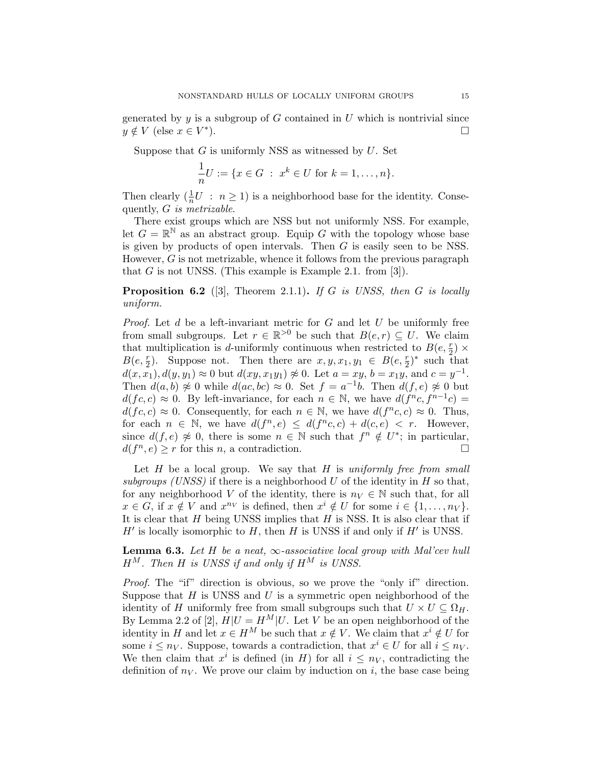generated by  $y$  is a subgroup of  $G$  contained in  $U$  which is nontrivial since  $y \notin V$  (else  $x \in V^*$ ).  $\qquad \qquad \Box$ 

Suppose that  $G$  is uniformly NSS as witnessed by  $U$ . Set

$$
\frac{1}{n}U := \{x \in G \; : \; x^k \in U \text{ for } k = 1, \dots, n\}.
$$

Then clearly  $(\frac{1}{n}U : n \ge 1)$  is a neighborhood base for the identity. Consequently, G is metrizable.

There exist groups which are NSS but not uniformly NSS. For example, let  $G = \mathbb{R}^{\mathbb{N}}$  as an abstract group. Equip G with the topology whose base is given by products of open intervals. Then G is easily seen to be NSS. However,  $G$  is not metrizable, whence it follows from the previous paragraph that  $G$  is not UNSS. (This example is Example 2.1. from [3]).

**Proposition 6.2** ([3], Theorem 2.1.1). If G is UNSS, then G is locally uniform.

*Proof.* Let  $d$  be a left-invariant metric for  $G$  and let  $U$  be uniformly free from small subgroups. Let  $r \in \mathbb{R}^{>0}$  be such that  $B(e, r) \subseteq U$ . We claim that multiplication is d-uniformly continuous when restricted to  $B(e, \frac{r}{2}) \times$  $B(e, \frac{r}{2})$ . Suppose not. Then there are  $x, y, x_1, y_1 \in B(e, \frac{r}{2})^*$  such that  $d(x, x_1), d(y, y_1) \approx 0$  but  $d(xy, x_1y_1) \not\approx 0$ . Let  $a = xy$ ,  $b = x_1y$ , and  $c = y^{-1}$ . Then  $d(a, b) \not\approx 0$  while  $d(ac, bc) \approx 0$ . Set  $f = a^{-1}b$ . Then  $d(f, e) \not\approx 0$  but  $d(fc, c) \approx 0$ . By left-invariance, for each  $n \in \mathbb{N}$ , we have  $d(f^n c, f^{n-1} c)$  $d(f, c) \approx 0$ . Consequently, for each  $n \in \mathbb{N}$ , we have  $d(f^n c, c) \approx 0$ . Thus, for each  $n \in \mathbb{N}$ , we have  $d(f^n, e) \leq d(f^n c, c) + d(c, e) < r$ . However, since  $d(f, e) \not\approx 0$ , there is some  $n \in \mathbb{N}$  such that  $f^n \notin U^*$ ; in particular,  $d(f^n, e) \geq r$  for this *n*, a contradiction.

Let  $H$  be a local group. We say that  $H$  is uniformly free from small subgroups (UNSS) if there is a neighborhood U of the identity in H so that, for any neighborhood V of the identity, there is  $n_V \in \mathbb{N}$  such that, for all  $x \in G$ , if  $x \notin V$  and  $x^{n_V}$  is defined, then  $x^i \notin U$  for some  $i \in \{1, ..., n_V\}$ . It is clear that  $H$  being UNSS implies that  $H$  is NSS. It is also clear that if  $H'$  is locally isomorphic to  $H$ , then  $H$  is UNSS if and only if  $H'$  is UNSS.

**Lemma 6.3.** Let H be a neat,  $\infty$ -associative local group with Mal'cev hull  $H^M$ . Then H is UNSS if and only if  $H^M$  is UNSS.

Proof. The "if" direction is obvious, so we prove the "only if" direction. Suppose that  $H$  is UNSS and  $U$  is a symmetric open neighborhood of the identity of H uniformly free from small subgroups such that  $U \times U \subseteq \Omega_H$ . By Lemma 2.2 of [2],  $H|U = H^M|U$ . Let V be an open neighborhood of the identity in H and let  $x \in H^M$  be such that  $x \notin V$ . We claim that  $x^i \notin U$  for some  $i \leq n_V$ . Suppose, towards a contradiction, that  $x^i \in U$  for all  $i \leq n_V$ . We then claim that  $x^i$  is defined (in H) for all  $i \leq n_V$ , contradicting the definition of  $n<sub>V</sub>$ . We prove our claim by induction on i, the base case being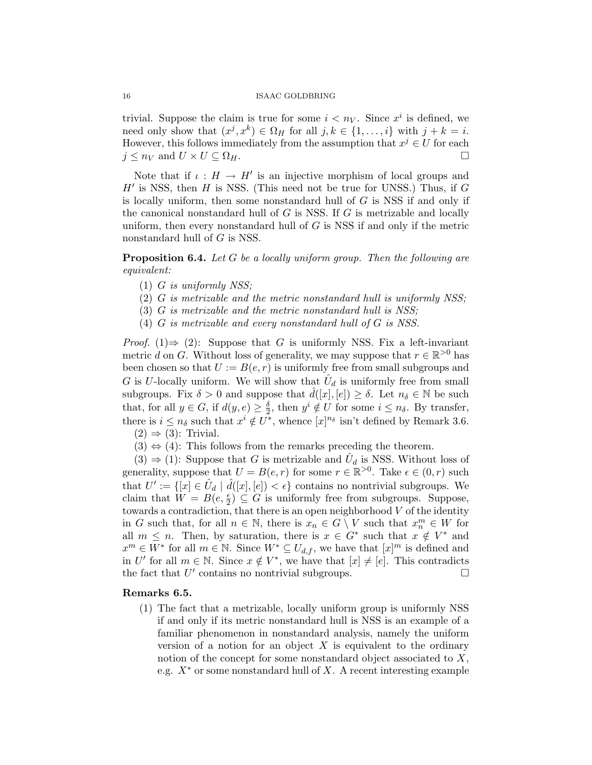trivial. Suppose the claim is true for some  $i < n_V$ . Since  $x^i$  is defined, we need only show that  $(x^j, x^k) \in \Omega_H$  for all  $j, k \in \{1, ..., i\}$  with  $j + k = i$ . However, this follows immediately from the assumption that  $x^j \in U$  for each  $j \leq n_V$  and  $U \times U \subseteq \Omega_H$ .

Note that if  $\iota : H \to H'$  is an injective morphism of local groups and  $H'$  is NSS, then  $H$  is NSS. (This need not be true for UNSS.) Thus, if  $G$ is locally uniform, then some nonstandard hull of  $G$  is NSS if and only if the canonical nonstandard hull of  $G$  is NSS. If  $G$  is metrizable and locally uniform, then every nonstandard hull of  $G$  is NSS if and only if the metric nonstandard hull of G is NSS.

**Proposition 6.4.** Let G be a locally uniform group. Then the following are equivalent:

- (1) G is uniformly NSS;
- (2) G is metrizable and the metric nonstandard hull is uniformly NSS;
- (3) G is metrizable and the metric nonstandard hull is NSS;
- (4) G is metrizable and every nonstandard hull of G is NSS.

*Proof.* (1)  $\Rightarrow$  (2): Suppose that G is uniformly NSS. Fix a left-invariant metric d on G. Without loss of generality, we may suppose that  $r \in \mathbb{R}^{>0}$  has been chosen so that  $U := B(e, r)$  is uniformly free from small subgroups and G is U-locally uniform. We will show that  $\hat{U}_d$  is uniformly free from small subgroups. Fix  $\delta > 0$  and suppose that  $\hat{d}([x], [e]) \geq \delta$ . Let  $n_{\delta} \in \mathbb{N}$  be such that, for all  $y \in G$ , if  $d(y, e) \geq \frac{\delta}{2}$  $\frac{\delta}{2}$ , then  $y^i \notin U$  for some  $i \leq n_\delta$ . By transfer, there is  $i \leq n_{\delta}$  such that  $x^{i} \notin U^{*}$ , whence  $[x]^{n_{\delta}}$  isn't defined by Remark 3.6.  $(2) \Rightarrow (3)$ : Trivial.

 $(3) \Leftrightarrow (4)$ : This follows from the remarks preceding the theorem.

 $(3) \Rightarrow (1)$ : Suppose that G is metrizable and  $\hat{U}_d$  is NSS. Without loss of generality, suppose that  $U = B(e, r)$  for some  $r \in \mathbb{R}^{>0}$ . Take  $\epsilon \in (0, r)$  such that  $U' := \{ [x] \in \hat{U}_d \mid \hat{d}([x], [e]) < \epsilon \}$  contains no nontrivial subgroups. We claim that  $W = B(e, \frac{\epsilon}{2}) \subseteq G$  is uniformly free from subgroups. Suppose, towards a contradiction, that there is an open neighborhood  $V$  of the identity in G such that, for all  $n \in \mathbb{N}$ , there is  $x_n \in G \setminus V$  such that  $x_n^m \in W$  for all  $m \leq n$ . Then, by saturation, there is  $x \in G^*$  such that  $x \notin V^*$  and  $x^m \in W^*$  for all  $m \in \mathbb{N}$ . Since  $W^* \subseteq U_{d,f}$ , we have that  $[x]^m$  is defined and in U' for all  $m \in \mathbb{N}$ . Since  $x \notin V^*$ , we have that  $[x] \neq [e]$ . This contradicts the fact that  $U'$  contains no nontrivial subgroups.

## Remarks 6.5.

(1) The fact that a metrizable, locally uniform group is uniformly NSS if and only if its metric nonstandard hull is NSS is an example of a familiar phenomenon in nonstandard analysis, namely the uniform version of a notion for an object  $X$  is equivalent to the ordinary notion of the concept for some nonstandard object associated to X, e.g.  $X^*$  or some nonstandard hull of X. A recent interesting example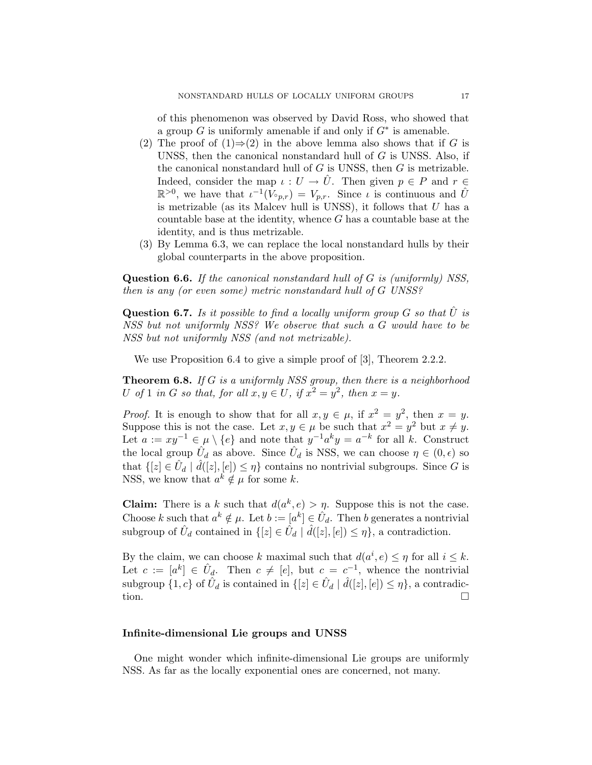of this phenomenon was observed by David Ross, who showed that a group  $G$  is uniformly amenable if and only if  $G^*$  is amenable.

- (2) The proof of  $(1) \Rightarrow (2)$  in the above lemma also shows that if G is UNSS, then the canonical nonstandard hull of G is UNSS. Also, if the canonical nonstandard hull of  $G$  is UNSS, then  $G$  is metrizable. Indeed, consider the map  $\iota: U \to \hat{U}$ . Then given  $p \in P$  and  $r \in$  $\mathbb{R}^{>0}$ , we have that  $\iota^{-1}(V_{p,r}) = V_{p,r}$ . Since  $\iota$  is continuous and  $\hat{U}$ is metrizable (as its Malcev hull is UNSS), it follows that  $U$  has a countable base at the identity, whence  $G$  has a countable base at the identity, and is thus metrizable.
- (3) By Lemma 6.3, we can replace the local nonstandard hulls by their global counterparts in the above proposition.

Question 6.6. If the canonical nonstandard hull of G is (uniformly) NSS, then is any (or even some) metric nonstandard hull of G UNSS?

**Question 6.7.** Is it possible to find a locally uniform group G so that  $\hat{U}$  is NSS but not uniformly NSS? We observe that such a G would have to be NSS but not uniformly NSS (and not metrizable).

We use Proposition 6.4 to give a simple proof of [3], Theorem 2.2.2.

Theorem 6.8. If G is a uniformly NSS group, then there is a neighborhood U of 1 in G so that, for all  $x, y \in U$ , if  $x^2 = y^2$ , then  $x = y$ .

*Proof.* It is enough to show that for all  $x, y \in \mu$ , if  $x^2 = y^2$ , then  $x = y$ . Suppose this is not the case. Let  $x, y \in \mu$  be such that  $x^2 = y^2$  but  $x \neq y$ . Let  $a := xy^{-1} \in \mu \setminus \{e\}$  and note that  $y^{-1}a^k y = a^{-k}$  for all k. Construct the local group  $\hat{U}_d$  as above. Since  $\hat{U}_d$  is NSS, we can choose  $\eta \in (0, \epsilon)$  so that  $\{[z] \in \hat{U}_d \mid \hat{d}([z], [e]) \leq \eta\}$  contains no nontrivial subgroups. Since G is NSS, we know that  $a^k \notin \mu$  for some k.

**Claim:** There is a k such that  $d(a^k, e) > \eta$ . Suppose this is not the case. Choose k such that  $a^k \notin \mu$ . Let  $b := [a^k] \in \hat{U}_d$ . Then b generates a nontrivial subgroup of  $\hat{U}_d$  contained in  $\{[z] \in \hat{U}_d \mid \hat{d}([z], [e]) \leq \eta\}$ , a contradiction.

By the claim, we can choose k maximal such that  $d(a^i, e) \leq \eta$  for all  $i \leq k$ . Let  $c := [a^k] \in \hat{U}_d$ . Then  $c \neq [e]$ , but  $c = c^{-1}$ , whence the nontrivial subgroup  $\{1, c\}$  of  $\hat{U}_d$  is contained in  $\{[z] \in \hat{U}_d \mid \hat{d}([z], [e]) \leq \eta\}$ , a contradiction.  $\Box$ 

# Infinite-dimensional Lie groups and UNSS

One might wonder which infinite-dimensional Lie groups are uniformly NSS. As far as the locally exponential ones are concerned, not many.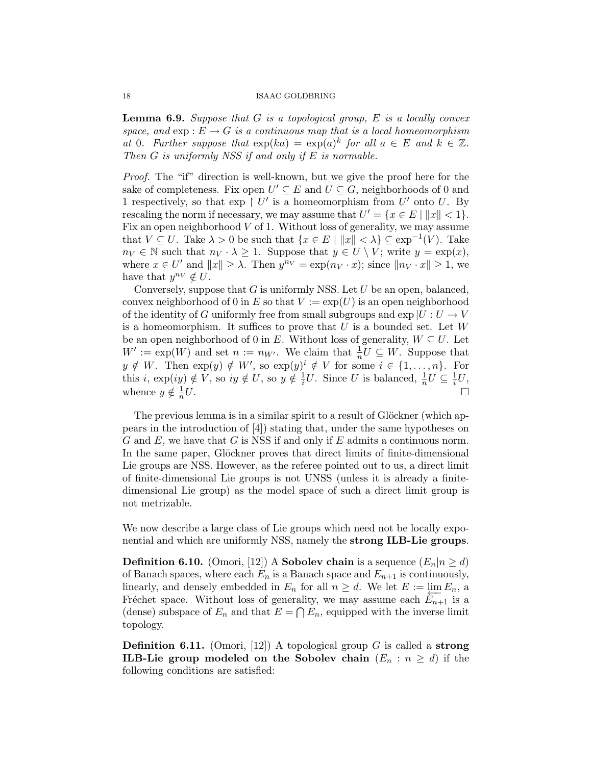**Lemma 6.9.** Suppose that  $G$  is a topological group,  $E$  is a locally convex space, and  $exp: E \to G$  is a continuous map that is a local homeomorphism at 0. Further suppose that  $\exp(ka) = \exp(a)^k$  for all  $a \in E$  and  $k \in \mathbb{Z}$ . Then G is uniformly NSS if and only if E is normable.

Proof. The "if" direction is well-known, but we give the proof here for the sake of completeness. Fix open  $U' \subseteq E$  and  $U \subseteq G$ , neighborhoods of 0 and 1 respectively, so that  $\exp\int U'$  is a homeomorphism from  $U'$  onto U. By rescaling the norm if necessary, we may assume that  $U' = \{x \in E \mid ||x|| < 1\}.$ Fix an open neighborhood  $V$  of 1. Without loss of generality, we may assume that  $V \subseteq U$ . Take  $\lambda > 0$  be such that  $\{x \in E \mid ||x|| < \lambda\} \subseteq \exp^{-1}(V)$ . Take  $n_V \in \mathbb{N}$  such that  $n_V \cdot \lambda \geq 1$ . Suppose that  $y \in U \setminus V$ ; write  $y = \exp(x)$ , where  $x \in U'$  and  $||x|| \geq \lambda$ . Then  $y^{n_V} = \exp(n_V \cdot x)$ ; since  $||n_V \cdot x|| \geq 1$ , we have that  $y^{n_V} \notin U$ .

Conversely, suppose that  $G$  is uniformly NSS. Let  $U$  be an open, balanced, convex neighborhood of 0 in E so that  $V := \exp(U)$  is an open neighborhood of the identity of G uniformly free from small subgroups and  $\exp |U: U \to V$ is a homeomorphism. It suffices to prove that  $U$  is a bounded set. Let  $W$ be an open neighborhood of 0 in E. Without loss of generality,  $W \subseteq U$ . Let  $W' := \exp(W)$  and set  $n := n_{W'}$ . We claim that  $\frac{1}{n}U \subseteq W$ . Suppose that  $y \notin W$ . Then  $\exp(y) \notin W'$ , so  $\exp(y)^i \notin V$  for some  $i \in \{1, \ldots, n\}$ . For this i,  $\exp(iy) \notin V$ , so  $iy \notin U$ , so  $y \notin \frac{1}{i}$  $\frac{1}{i}U$ . Since U is balanced,  $\frac{1}{n}U \subseteq \frac{1}{i}$  $\frac{1}{i}U,$ whence  $y \notin \frac{1}{n}$ n  $U.$ 

The previous lemma is in a similar spirit to a result of Glöckner (which appears in the introduction of [4]) stating that, under the same hypotheses on  $G$  and  $E$ , we have that  $G$  is NSS if and only if  $E$  admits a continuous norm. In the same paper, Glöckner proves that direct limits of finite-dimensional Lie groups are NSS. However, as the referee pointed out to us, a direct limit of finite-dimensional Lie groups is not UNSS (unless it is already a finitedimensional Lie group) as the model space of such a direct limit group is not metrizable.

We now describe a large class of Lie groups which need not be locally exponential and which are uniformly NSS, namely the strong ILB-Lie groups.

**Definition 6.10.** (Omori, [12]) A **Sobolev chain** is a sequence  $(E_n|n \geq d)$ of Banach spaces, where each  $E_n$  is a Banach space and  $E_{n+1}$  is continuously, linearly, and densely embedded in  $E_n$  for all  $n \geq d$ . We let  $E := \lim_{n \to \infty} E_n$ , a Fréchet space. Without loss of generality, we may assume each  $E_{n+1}$  is a (dense) subspace of  $E_n$  and that  $E = \bigcap E_n$ , equipped with the inverse limit topology.

**Definition 6.11.** (Omori, [12]) A topological group G is called a strong **ILB-Lie group modeled on the Sobolev chain**  $(E_n : n \ge d)$  if the following conditions are satisfied: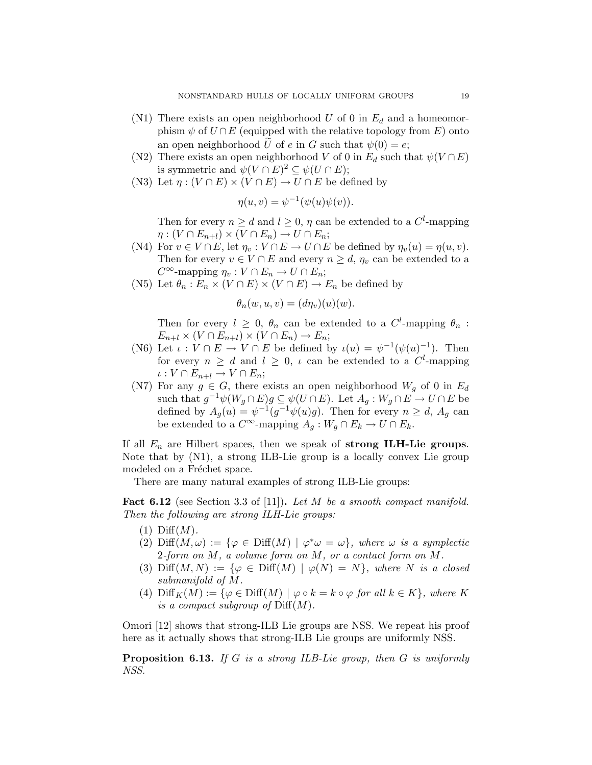- (N1) There exists an open neighborhood U of 0 in  $E_d$  and a homeomorphism  $\psi$  of  $U \cap E$  (equipped with the relative topology from E) onto an open neighborhood U of e in G such that  $\psi(0) = e$ ;
- (N2) There exists an open neighborhood V of 0 in  $E_d$  such that  $\psi(V \cap E)$ is symmetric and  $\psi(V \cap E)^2 \subseteq \psi(U \cap E);$
- (N3) Let  $\eta : (V \cap E) \times (V \cap E) \to U \cap E$  be defined by

$$
\eta(u, v) = \psi^{-1}(\psi(u)\psi(v)).
$$

Then for every  $n \geq d$  and  $l \geq 0$ ,  $\eta$  can be extended to a  $C^l$ -mapping  $\eta: (V \cap E_{n+l}) \times (V \cap E_n) \to U \cap E_n;$ 

- (N4) For  $v \in V \cap E$ , let  $\eta_v : V \cap E \to U \cap E$  be defined by  $\eta_v(u) = \eta(u, v)$ . Then for every  $v \in V \cap E$  and every  $n \geq d$ ,  $\eta_v$  can be extended to a  $C^{\infty}$ -mapping  $\eta_v : V \cap E_n \to U \cap E_n;$
- (N5) Let  $\theta_n : E_n \times (V \cap E) \times (V \cap E) \to E_n$  be defined by

$$
\theta_n(w, u, v) = (d\eta_v)(u)(w).
$$

Then for every  $l \geq 0$ ,  $\theta_n$  can be extended to a  $C^l$ -mapping  $\theta_n$ :  $E_{n+l} \times (V \cap E_{n+l}) \times (V \cap E_n) \to E_n;$ 

- (N6) Let  $\iota: V \cap E \to V \cap E$  be defined by  $\iota(u) = \psi^{-1}(\psi(u)^{-1})$ . Then for every  $n \geq d$  and  $l \geq 0$ ,  $\iota$  can be extended to a  $C^l$ -mapping  $\iota: V \cap E_{n+l} \to V \cap E_n;$
- (N7) For any  $g \in G$ , there exists an open neighborhood  $W_q$  of 0 in  $E_d$ such that  $g^{-1}\psi(W_g \cap E)g \subseteq \psi(U \cap E)$ . Let  $A_g: W_g \cap E \to U \cap E$  be defined by  $A_g(u) = \psi^{-1}(g^{-1}\psi(u)g)$ . Then for every  $n \geq d$ ,  $A_g$  can be extended to a  $C^{\infty}$ -mapping  $A_g: W_g \cap E_k \to U \cap E_k$ .

If all  $E_n$  are Hilbert spaces, then we speak of strong ILH-Lie groups. Note that by (N1), a strong ILB-Lie group is a locally convex Lie group modeled on a Fréchet space.

There are many natural examples of strong ILB-Lie groups:

Fact 6.12 (see Section 3.3 of [11]). Let M be a smooth compact manifold. Then the following are strong ILH-Lie groups:

- $(1)$  Diff $(M)$ .
- (2)  $\text{Diff}(M,\omega) := \{ \varphi \in \text{Diff}(M) \mid \varphi^* \omega = \omega \}, \text{ where } \omega \text{ is a symplectic}$ 2-form on  $M$ , a volume form on  $M$ , or a contact form on  $M$ .
- (3) Diff $(M, N) := \{ \varphi \in \text{Diff}(M) \mid \varphi(N) = N \}$ , where N is a closed submanifold of M.
- (4)  $\text{Diff}_K(M) := \{ \varphi \in \text{Diff}(M) \mid \varphi \circ k = k \circ \varphi \text{ for all } k \in K \}, \text{ where } K$ is a compact subgroup of  $\text{Diff}(M)$ .

Omori [12] shows that strong-ILB Lie groups are NSS. We repeat his proof here as it actually shows that strong-ILB Lie groups are uniformly NSS.

**Proposition 6.13.** If G is a strong ILB-Lie group, then G is uniformly NSS.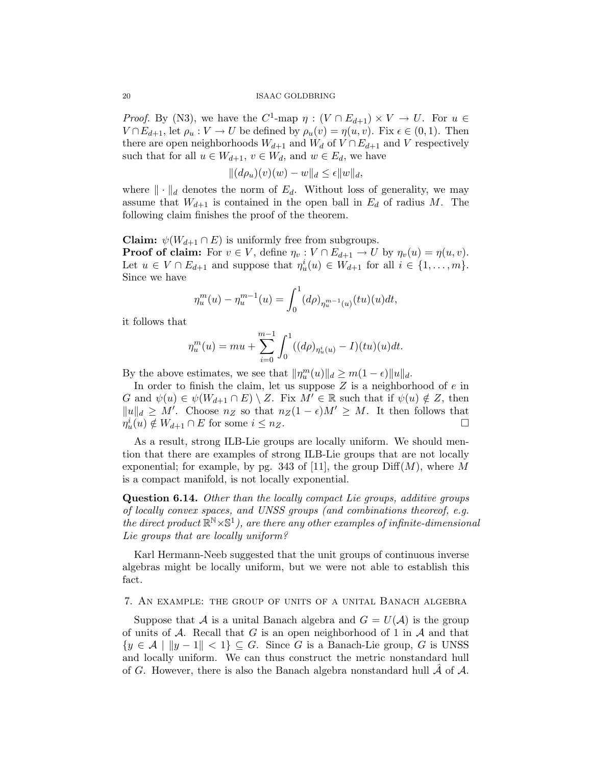*Proof.* By (N3), we have the  $C^1$ -map  $\eta : (V \cap E_{d+1}) \times V \to U$ . For  $u \in$  $V \cap E_{d+1}$ , let  $\rho_u : V \to U$  be defined by  $\rho_u(v) = \eta(u, v)$ . Fix  $\epsilon \in (0, 1)$ . Then there are open neighborhoods  $W_{d+1}$  and  $W_d$  of  $V \cap E_{d+1}$  and V respectively such that for all  $u \in W_{d+1}$ ,  $v \in W_d$ , and  $w \in E_d$ , we have

$$
||(d\rho_u)(v)(w) - w||_d \le \epsilon ||w||_d,
$$

where  $\|\cdot\|_d$  denotes the norm of  $E_d$ . Without loss of generality, we may assume that  $W_{d+1}$  is contained in the open ball in  $E_d$  of radius M. The following claim finishes the proof of the theorem.

**Claim:**  $\psi(W_{d+1} \cap E)$  is uniformly free from subgroups. **Proof of claim:** For  $v \in V$ , define  $\eta_v : V \cap E_{d+1} \to U$  by  $\eta_v(u) = \eta(u, v)$ . Let  $u \in V \cap E_{d+1}$  and suppose that  $\eta_u^i(u) \in W_{d+1}$  for all  $i \in \{1, \ldots, m\}$ . Since we have

$$
\eta_u^m(u) - \eta_u^{m-1}(u) = \int_0^1 (d\rho)_{\eta_u^{m-1}(u)}(tu)(u)dt,
$$

it follows that

$$
\eta_u^m(u) = mu + \sum_{i=0}^{m-1} \int_0^1 ((d\rho)_{\eta_u^i(u)} - I)(tu)(u)dt.
$$

By the above estimates, we see that  $\|\eta_u^m(u)\|_d \ge m(1-\epsilon)\|u\|_d$ .

In order to finish the claim, let us suppose  $Z$  is a neighborhood of  $e$  in G and  $\psi(u) \in \psi(W_{d+1} \cap E) \setminus Z$ . Fix  $M' \in \mathbb{R}$  such that if  $\psi(u) \notin Z$ , then  $||u||_d \geq M'$ . Choose  $n_Z$  so that  $n_Z(1-\epsilon)M' \geq M$ . It then follows that  $\eta_u^i(u) \notin W_{d+1} \cap E$  for some  $i \leq n_Z$ .

As a result, strong ILB-Lie groups are locally uniform. We should mention that there are examples of strong ILB-Lie groups that are not locally exponential; for example, by pg. 343 of [11], the group  $\text{Diff}(M)$ , where M is a compact manifold, is not locally exponential.

Question 6.14. Other than the locally compact Lie groups, additive groups of locally convex spaces, and UNSS groups (and combinations theoreof, e.g. the direct product  $\mathbb{R}^{\mathbb{N}} \times \mathbb{S}^1$ ), are there any other examples of infinite-dimensional Lie groups that are locally uniform?

Karl Hermann-Neeb suggested that the unit groups of continuous inverse algebras might be locally uniform, but we were not able to establish this fact.

7. An example: the group of units of a unital Banach algebra

Suppose that A is a unital Banach algebra and  $G = U(\mathcal{A})$  is the group of units of  $A$ . Recall that G is an open neighborhood of 1 in  $A$  and that  $\{y \in \mathcal{A} \mid ||y - 1|| < 1\} \subseteq G$ . Since G is a Banach-Lie group, G is UNSS and locally uniform. We can thus construct the metric nonstandard hull of G. However, there is also the Banach algebra nonstandard hull  $\mathcal A$  of  $\mathcal A$ .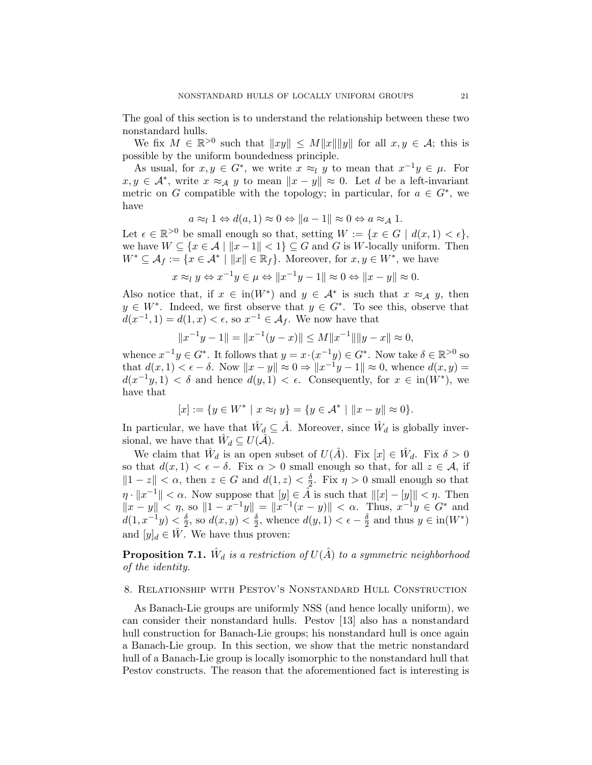The goal of this section is to understand the relationship between these two nonstandard hulls.

We fix  $M \in \mathbb{R}^{>0}$  such that  $||xy|| \le M||x|| ||y||$  for all  $x, y \in \mathcal{A}$ ; this is possible by the uniform boundedness principle.

As usual, for  $x, y \in G^*$ , we write  $x \approx_l y$  to mean that  $x^{-1}y \in \mu$ . For  $x, y \in \mathcal{A}^*$ , write  $x \approx_{\mathcal{A}} y$  to mean  $||x - y|| \approx 0$ . Let d be a left-invariant metric on G compatible with the topology; in particular, for  $a \in G^*$ , we have

$$
a \approx_l 1 \Leftrightarrow d(a,1) \approx 0 \Leftrightarrow ||a-1|| \approx 0 \Leftrightarrow a \approx_A 1.
$$

Let  $\epsilon \in \mathbb{R}^{>0}$  be small enough so that, setting  $W := \{x \in G \mid d(x, 1) < \epsilon\},\$ we have  $W \subseteq \{x \in \mathcal{A} \mid ||x-1|| < 1\} \subseteq G$  and G is W-locally uniform. Then  $W^* \subseteq \mathcal{A}_f := \{x \in \mathcal{A}^* \mid ||x|| \in \mathbb{R}_f\}.$  Moreover, for  $x, y \in W^*$ , we have

$$
x \approx_l y \Leftrightarrow x^{-1}y \in \mu \Leftrightarrow ||x^{-1}y - 1|| \approx 0 \Leftrightarrow ||x - y|| \approx 0.
$$

Also notice that, if  $x \in in(W^*)$  and  $y \in A^*$  is such that  $x \approx_A y$ , then  $y \in W^*$ . Indeed, we first observe that  $y \in G^*$ . To see this, observe that  $d(x^{-1}, 1) = d(1, x) < \epsilon$ , so  $x^{-1} \in \mathcal{A}_f$ . We now have that

$$
||x^{-1}y - 1|| = ||x^{-1}(y - x)|| \le M||x^{-1}|| ||y - x|| \approx 0,
$$

whence  $x^{-1}y \in G^*$ . It follows that  $y = x \cdot (x^{-1}y) \in G^*$ . Now take  $\delta \in \mathbb{R}^{>0}$  so that  $d(x, 1) < \epsilon - \delta$ . Now  $||x - y|| \approx 0 \Rightarrow ||x^{-1}y - 1|| \approx 0$ , whence  $d(x, y) =$  $d(x^{-1}y, 1) < \delta$  and hence  $d(y, 1) < \epsilon$ . Consequently, for  $x \in \text{in}(W^*)$ , we have that

$$
[x] := \{ y \in W^* \mid x \approx_l y \} = \{ y \in \mathcal{A}^* \mid ||x - y|| \approx 0 \}.
$$

In particular, we have that  $\hat{W}_d \subseteq \hat{A}$ . Moreover, since  $\hat{W}_d$  is globally inversional, we have that  $\hat{W}_d \subseteq U(\hat{\mathcal{A}})$ .

We claim that  $\hat{W}_d$  is an open subset of  $U(\hat{A})$ . Fix  $[x] \in \hat{W}_d$ . Fix  $\delta > 0$ so that  $d(x, 1) < \epsilon - \delta$ . Fix  $\alpha > 0$  small enough so that, for all  $z \in A$ , if  $||1 - z|| < \alpha$ , then  $z \in G$  and  $d(1, z) < \frac{\delta}{2}$  $\frac{\delta}{2}$ . Fix  $\eta > 0$  small enough so that  $\eta \cdot ||x^{-1}|| < \alpha$ . Now suppose that  $|y| \in \hat{A}$  is such that  $||[x] - [y]|| < \eta$ . Then  $||x - y|| < \eta$ , so  $||1 - x^{-1}y|| = ||x^{-1}(x - y)|| < \alpha$ . Thus,  $x^{-1}y \in G^*$  and  $d(1, x^{-1}y) < \frac{\delta}{2}$  $\frac{\delta}{2}$ , so  $d(x, y) < \frac{\delta}{2}$  $\frac{\delta}{2}$ , whence  $d(y, 1) < \epsilon - \frac{\delta}{2}$  $\frac{\delta}{2}$  and thus  $y \in \text{in}(W^*)$ and  $[y]_d \in \hat{W}$ . We have thus proven:

**Proposition 7.1.**  $\hat{W}_d$  is a restriction of  $U(\hat{A})$  to a symmetric neighborhood of the identity.

# 8. Relationship with Pestov's Nonstandard Hull Construction

As Banach-Lie groups are uniformly NSS (and hence locally uniform), we can consider their nonstandard hulls. Pestov [13] also has a nonstandard hull construction for Banach-Lie groups; his nonstandard hull is once again a Banach-Lie group. In this section, we show that the metric nonstandard hull of a Banach-Lie group is locally isomorphic to the nonstandard hull that Pestov constructs. The reason that the aforementioned fact is interesting is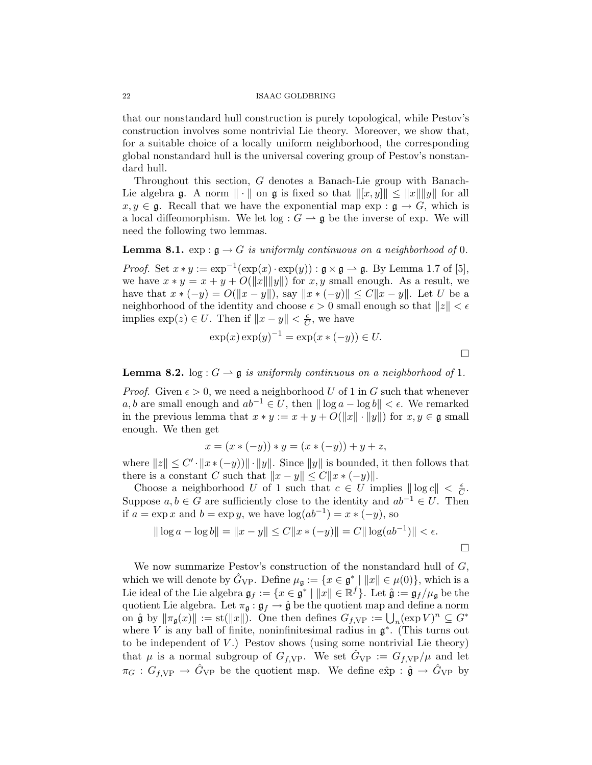that our nonstandard hull construction is purely topological, while Pestov's construction involves some nontrivial Lie theory. Moreover, we show that, for a suitable choice of a locally uniform neighborhood, the corresponding global nonstandard hull is the universal covering group of Pestov's nonstandard hull.

Throughout this section, G denotes a Banach-Lie group with Banach-Lie algebra g. A norm  $\|\cdot\|$  on g is fixed so that  $\|[x, y]\| \leq \|x\| \|y\|$  for all  $x, y \in \mathfrak{g}$ . Recall that we have the exponential map exp :  $\mathfrak{g} \to G$ , which is a local diffeomorphism. We let  $log: G \to \mathfrak{g}$  be the inverse of exp. We will need the following two lemmas.

**Lemma 8.1.** exp :  $\mathfrak{g} \to G$  is uniformly continuous on a neighborhood of 0.

*Proof.* Set  $x * y := \exp^{-1}(\exp(x) \cdot \exp(y)) : \mathfrak{g} \times \mathfrak{g} \to \mathfrak{g}$ . By Lemma 1.7 of [5], we have  $x * y = x + y + O(||x|| ||y||)$  for  $x, y$  small enough. As a result, we have that  $x * (-y) = O(||x - y||)$ , say  $||x * (-y)|| \leq C||x - y||$ . Let U be a neighborhood of the identity and choose  $\epsilon > 0$  small enough so that  $||z|| < \epsilon$ implies  $\exp(z) \in U$ . Then if  $||x - y|| < \frac{\epsilon}{C}$  $\frac{\epsilon}{C}$ , we have

$$
\exp(x) \exp(y)^{-1} = \exp(x * (-y)) \in U.
$$

 $\Box$ 

**Lemma 8.2.** log :  $G \rightharpoonup \mathfrak{g}$  is uniformly continuous on a neighborhood of 1.

*Proof.* Given  $\epsilon > 0$ , we need a neighborhood U of 1 in G such that whenever a, b are small enough and  $ab^{-1} \in U$ , then  $\|\log a - \log b\| < \epsilon$ . We remarked in the previous lemma that  $x * y := x + y + O(||x|| \cdot ||y||)$  for  $x, y \in \mathfrak{g}$  small enough. We then get

$$
x = (x * (-y)) * y = (x * (-y)) + y + z,
$$

where  $||z|| \leq C' \cdot ||x \cdot (-y)|| \cdot ||y||$ . Since  $||y||$  is bounded, it then follows that there is a constant C such that  $||x - y|| \leq C||x \cdot (-y)||$ .

Choose a neighborhood U of 1 such that  $c \in U$  implies  $\|\log c\| < \frac{\epsilon}{C}$  $\frac{\epsilon}{C}$  . Suppose  $a, b \in G$  are sufficiently close to the identity and  $ab^{-1} \in U$ . Then if  $a = \exp x$  and  $b = \exp y$ , we have  $\log(ab^{-1}) = x * (-y)$ , so

$$
\|\log a - \log b\| = \|x - y\| \le C\|x \cdot (-y)\| = C\|\log(ab^{-1})\| < \epsilon.
$$

We now summarize Pestov's construction of the nonstandard hull of  $G$ , which we will denote by  $\hat{G}_{VP}$ . Define  $\mu_{\mathfrak{g}} := \{x \in \mathfrak{g}^* \mid ||x|| \in \mu(0)\}\$ , which is a Lie ideal of the Lie algebra  $\mathfrak{g}_f := \{ x \in \mathfrak{g}^* \mid ||x|| \in \mathbb{R}^f \}$ . Let  $\hat{\mathfrak{g}} := \mathfrak{g}_f / \mu_{\mathfrak{g}}$  be the quotient Lie algebra. Let  $\pi_{\mathfrak{g}} : \mathfrak{g}_f \to \hat{\mathfrak{g}}$  be the quotient map and define a norm on  $\hat{\mathfrak{g}}$  by  $\|\pi_{\mathfrak{g}}(x)\| := \operatorname{st}(\|x\|)$ . One then defines  $G_{f,\text{VP}} := \bigcup_n (\exp V)^n \subseteq G^*$ where V is any ball of finite, noninfinitesimal radius in  $\mathfrak{g}^*$ . (This turns out to be independent of  $V$ .) Pestov shows (using some nontrivial Lie theory) that  $\mu$  is a normal subgroup of  $G_{f,\text{VP}}$ . We set  $\tilde{G}_{VP} := G_{f,\text{VP}}/\mu$  and let  $\pi_G : G_{f,VP} \to \hat{G}_{VP}$  be the quotient map. We define  $\exp : \hat{\mathfrak{g}} \to \hat{G}_{VP}$  by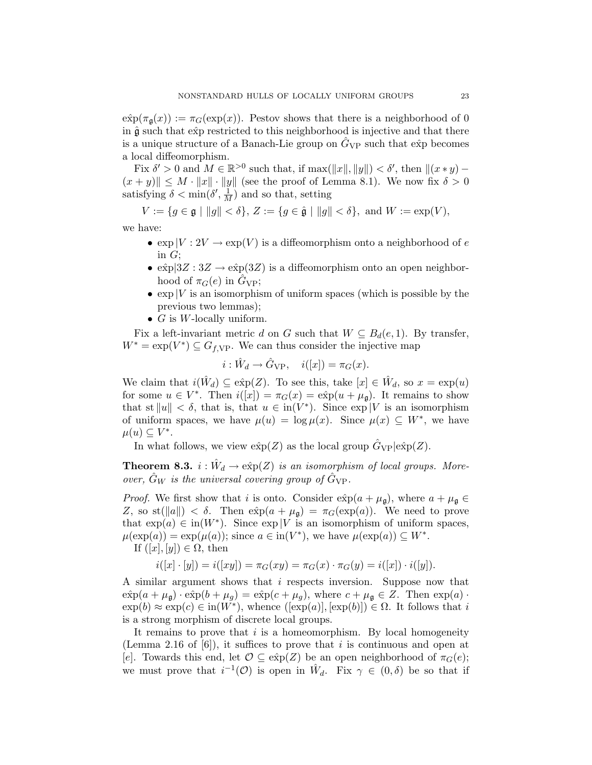$\hat{\exp}(\pi_{\mathfrak{a}}(x)) := \pi_G(\exp(x)).$  Pestov shows that there is a neighborhood of 0 in  $\hat{\mathfrak{g}}$  such that  $\hat{\exp}$  restricted to this neighborhood is injective and that there is a unique structure of a Banach-Lie group on  $\tilde{G}_{VP}$  such that  $\hat{\exp}$  becomes a local diffeomorphism.

Fix  $\delta' > 0$  and  $M \in \mathbb{R}^{>0}$  such that, if max( $||x||, ||y|| > \delta'$ , then  $||(x * y) |(x + y)| \leq M \cdot ||x|| \cdot ||y||$  (see the proof of Lemma 8.1). We now fix  $\delta > 0$ satisfying  $\delta < \min(\delta', \frac{1}{M})$  and so that, setting

 $V := \{g \in \mathfrak{g} \mid ||g|| < \delta\}, Z := \{g \in \hat{\mathfrak{g}} \mid ||g|| < \delta\},\$  and  $W := \exp(V)$ ,

we have:

- $\exp|V:2V \to \exp(V)$  is a diffeomorphism onto a neighborhood of e in  $G$ ;
- $\exp[3Z : 3Z \to \exp(3Z)]$  is a diffeomorphism onto an open neighborhood of  $\pi_G(e)$  in  $G_{VP}$ ;
- $\exp|V|$  is an isomorphism of uniform spaces (which is possible by the previous two lemmas);
- $G$  is W-locally uniform.

Fix a left-invariant metric d on G such that  $W \subseteq B_d(e, 1)$ . By transfer,  $W^* = \exp(V^*) \subseteq G_{f,VP}$ . We can thus consider the injective map

$$
i: \hat{W}_d \to \hat{G}_{\mathrm{VP}}, \quad i([x]) = \pi_G(x).
$$

We claim that  $i(\hat{W}_d) \subseteq \hat{\exp}(Z)$ . To see this, take  $[x] \in \hat{W}_d$ , so  $x = \exp(u)$ for some  $u \in V^*$ . Then  $i([x]) = \pi_G(x) = \varepsilon \hat{x}p(u + \mu_{\mathfrak{g}})$ . It remains to show that st  $||u|| < \delta$ , that is, that  $u \in \text{in}(V^*)$ . Since  $\exp|V|$  is an isomorphism of uniform spaces, we have  $\mu(u) = \log \mu(x)$ . Since  $\mu(x) \subseteq W^*$ , we have  $\mu(u) \subseteq V^*$ .

In what follows, we view  $\exp(Z)$  as the local group  $\hat{G}_{VP} | \hat{\exp(Z)}$ .

**Theorem 8.3.**  $i : \hat{W}_d \to e\hat{x}p(Z)$  is an isomorphism of local groups. Moreover,  $\hat{G}_W$  is the universal covering group of  $\hat{G}_{VP}$ .

*Proof.* We first show that i is onto. Consider  $\exp(a + \mu_{\mathfrak{g}})$ , where  $a + \mu_{\mathfrak{g}} \in$ Z, so st( $||a|| > \delta$ . Then  $\exp(a + \mu_{\mathfrak{g}}) = \pi_G(\exp(a))$ . We need to prove that  $\exp(a) \in \text{in}(W^*)$ . Since  $\exp|V|$  is an isomorphism of uniform spaces,  $\mu(\exp(a)) = \exp(\mu(a));$  since  $a \in \text{in}(V^*)$ , we have  $\mu(\exp(a)) \subseteq W^*$ .

If  $([x], [y]) \in \Omega$ , then

$$
i([x] \cdot [y]) = i([xy]) = \pi_G(xy) = \pi_G(x) \cdot \pi_G(y) = i([x]) \cdot i([y]).
$$

A similar argument shows that i respects inversion. Suppose now that  $\hat{\exp}(a + \mu_{\mathfrak{g}}) \cdot \hat{\exp}(b + \mu_{g}) = \hat{\exp}(c + \mu_{g}),$  where  $c + \mu_{\mathfrak{g}} \in Z$ . Then  $\exp(a) \cdot$  $\exp(b) \approx \exp(c) \in \text{in}(W^*)$ , whence  $([\exp(a)], [\exp(b)]) \in \Omega$ . It follows that i is a strong morphism of discrete local groups.

It remains to prove that  $i$  is a homeomorphism. By local homogeneity (Lemma 2.16 of  $[6]$ ), it suffices to prove that i is continuous and open at [e]. Towards this end, let  $\mathcal{O} \subseteq \hat{\exp}(Z)$  be an open neighborhood of  $\pi_G(e)$ ; we must prove that  $i^{-1}(\mathcal{O})$  is open in  $\hat{W}_d$ . Fix  $\gamma \in (0,\delta)$  be so that if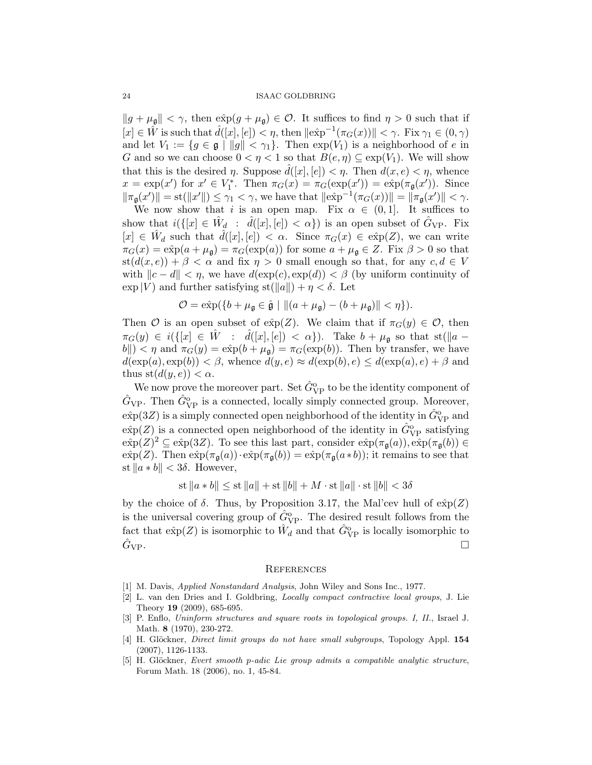$||g + \mu_{\mathfrak{g}}|| < \gamma$ , then  $\exp(g + \mu_{\mathfrak{g}}) \in \mathcal{O}$ . It suffices to find  $\eta > 0$  such that if  $[x] \in \hat{W}$  is such that  $\hat{d}([x], [e]) < \eta$ , then  $\|\hat{\exp}^{-1}(\pi_G(x))\| < \gamma$ . Fix  $\gamma_1 \in (0, \gamma)$ and let  $V_1 := \{g \in \mathfrak{g} \mid ||g|| < \gamma_1\}$ . Then  $\exp(V_1)$  is a neighborhood of e in G and so we can choose  $0 < \eta < 1$  so that  $B(e, \eta) \subseteq \exp(V_1)$ . We will show that this is the desired  $\eta$ . Suppose  $\hat{d}([x],[e]) < \eta$ . Then  $d(x,e) < \eta$ , whence  $x = \exp(x')$  for  $x' \in V_1^*$ . Then  $\pi_G(x) = \pi_G(\exp(x')) = \exp(\pi_{\mathfrak{g}}(x'))$ . Since  $\|\pi_{\mathfrak{g}}(x')\| = \text{st}(\|x'\|) \leq \gamma_1 < \gamma$ , we have that  $\|\text{e\hat{x}p}^{-1}(\pi_G(x))\| = \|\pi_{\mathfrak{g}}(x')\| < \gamma$ .

We now show that i is an open map. Fix  $\alpha \in (0,1]$ . It suffices to show that  $i({x \in \hat{W}_d : \hat{d}([x], [e]) < \alpha})$  is an open subset of  $\hat{G}_{VP}$ . Fix  $[x] \in \hat{W}_d$  such that  $\hat{d}([x],[e]) < \alpha$ . Since  $\pi_G(x) \in \hat{\exp}(Z)$ , we can write  $\pi_G(x) = \hat{\exp}(a + \mu_{\mathfrak{g}}) = \pi_G(\exp(a))$  for some  $a + \mu_{\mathfrak{g}} \in Z$ . Fix  $\beta > 0$  so that  $st(d(x, e)) + \beta < \alpha$  and fix  $\eta > 0$  small enough so that, for any  $c, d \in V$ with  $\|c - d\| < \eta$ , we have  $d(\exp(c), \exp(d)) < \beta$  (by uniform continuity of  $\exp|V|$  and further satisfying  $\text{st}(\Vert a \Vert) + \eta < \delta$ . Let

$$
\mathcal{O} = \exp(\{b + \mu_{\mathfrak{g}} \in \hat{\mathfrak{g}} \mid ||(a + \mu_{\mathfrak{g}}) - (b + \mu_{\mathfrak{g}})|| < \eta\}).
$$

Then O is an open subset of  $\exp(Z)$ . We claim that if  $\pi_G(y) \in \mathcal{O}$ , then  $\pi_G(y) \in i({\lbrack} \{[x] \in \hat{W} \ : \ \hat{d}([x],[e]) < \alpha\}).$  Take  $b + \mu_{\mathfrak{g}}$  so that st( $||a ||b|| < \eta$  and  $\pi_G(y) = \exp(b + \mu_{\mathfrak{g}}) = \pi_G(\exp(b)).$  Then by transfer, we have  $d(\exp(a), \exp(b)) < \beta$ , whence  $d(y, e) \approx d(\exp(b), e) \leq d(\exp(a), e) + \beta$  and thus  $\mathrm{st}(d(y, e)) < \alpha$ .

We now prove the moreover part. Set  $\hat{G}_{\rm VP}^{\rm o}$  to be the identity component of  $\hat{G}_{VP}$ . Then  $\hat{G}_{VP}^{o}$  is a connected, locally simply connected group. Moreover,  $\hat{\exp}(3Z)$  is a simply connected open neighborhood of the identity in  $\hat{G}^\text{o}_{\text{VP}}$  and  $\exp(Z)$  is a connected open neighborhood of the identity in  $\hat{G}_{VP}^{o}$  satisfying  $\exp(Z)^2 \subseteq \exp(3Z)$ . To see this last part, consider  $\exp(\pi_{\mathfrak{g}}(a))$ ,  $\exp(\pi_{\mathfrak{g}}(b)) \in$  $\hat{\exp}(Z)$ . Then  $\hat{\exp}(\pi_{\mathfrak{g}}(a)) \cdot \hat{\exp}(\pi_{\mathfrak{g}}(b)) = \hat{\exp}(\pi_{\mathfrak{g}}(a * b))$ ; it remains to see that st  $||a * b|| < 3\delta$ . However,

st  $||a * b|| \leq$  st  $||a|| +$  st  $||b|| + M \cdot$  st  $||a|| \cdot$  st  $||b|| < 3\delta$ 

by the choice of  $\delta$ . Thus, by Proposition 3.17, the Mal'cev hull of  $\exp(Z)$ is the universal covering group of  $\hat{G}_{VP}^{o}$ . The desired result follows from the fact that  $\hat{\exp}(Z)$  is isomorphic to  $\hat{W}_d$  and that  $\hat{G}_{\rm VP}^{\rm o}$  is locally isomorphic to  $\hat{G}_{\rm VP}$ .

#### **REFERENCES**

- [1] M. Davis, Applied Nonstandard Analysis, John Wiley and Sons Inc., 1977.
- [2] L. van den Dries and I. Goldbring, Locally compact contractive local groups, J. Lie Theory 19 (2009), 685-695.
- [3] P. Enflo, Uninform structures and square roots in topological groups. I, II., Israel J. Math. 8 (1970), 230-272.
- [4] H. Glöckner, *Direct limit groups do not have small subgroups*, Topology Appl. 154 (2007), 1126-1133.
- [5] H. Glöckner, Evert smooth p-adic Lie group admits a compatible analytic structure, Forum Math. 18 (2006), no. 1, 45-84.